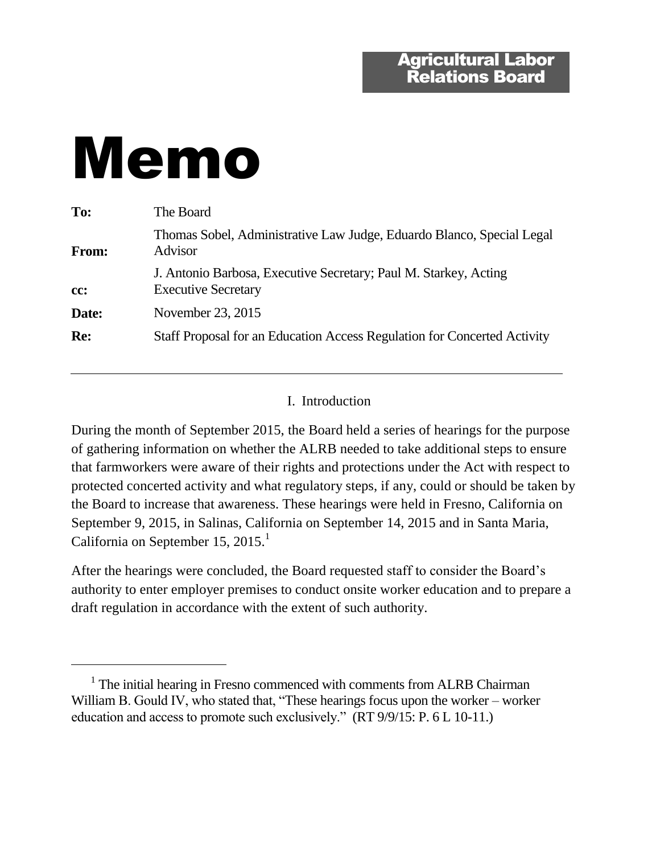# Memo

 $\overline{a}$ 

| To:   | The Board                                                                                      |
|-------|------------------------------------------------------------------------------------------------|
| From: | Thomas Sobel, Administrative Law Judge, Eduardo Blanco, Special Legal<br>Advisor               |
| cc:   | J. Antonio Barbosa, Executive Secretary; Paul M. Starkey, Acting<br><b>Executive Secretary</b> |
| Date: | November 23, 2015                                                                              |
| Re:   | Staff Proposal for an Education Access Regulation for Concerted Activity                       |
|       |                                                                                                |

## I. Introduction

During the month of September 2015, the Board held a series of hearings for the purpose of gathering information on whether the ALRB needed to take additional steps to ensure that farmworkers were aware of their rights and protections under the Act with respect to protected concerted activity and what regulatory steps, if any, could or should be taken by the Board to increase that awareness. These hearings were held in Fresno, California on September 9, 2015, in Salinas, California on September 14, 2015 and in Santa Maria, California on September 15, 2015.<sup>1</sup>

After the hearings were concluded, the Board requested staff to consider the Board's authority to enter employer premises to conduct onsite worker education and to prepare a draft regulation in accordance with the extent of such authority.

<sup>&</sup>lt;sup>1</sup> The initial hearing in Fresno commenced with comments from ALRB Chairman William B. Gould IV, who stated that, "These hearings focus upon the worker – worker education and access to promote such exclusively." (RT 9/9/15: P. 6 L 10-11.)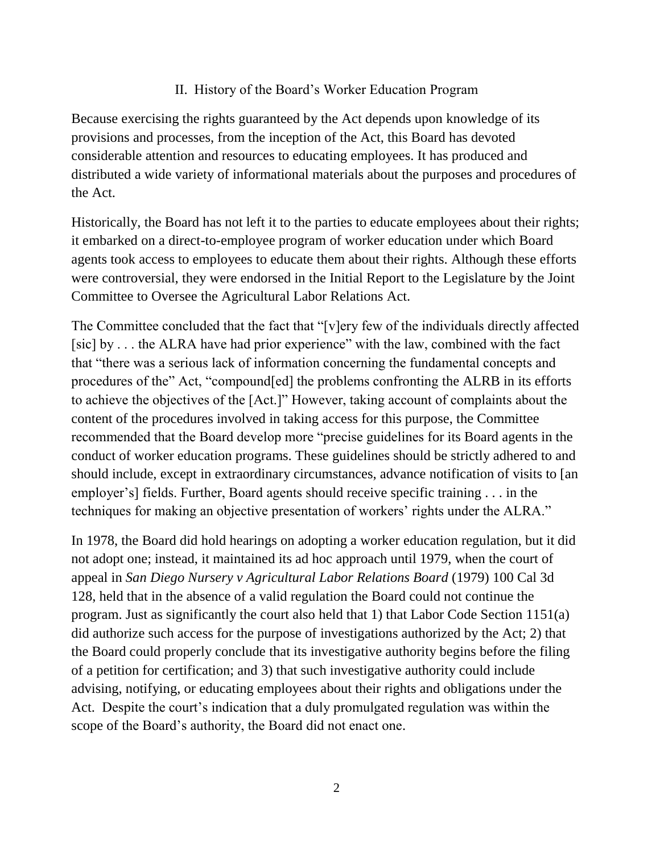## II. History of the Board's Worker Education Program

Because exercising the rights guaranteed by the Act depends upon knowledge of its provisions and processes, from the inception of the Act, this Board has devoted considerable attention and resources to educating employees. It has produced and distributed a wide variety of informational materials about the purposes and procedures of the Act.

Historically, the Board has not left it to the parties to educate employees about their rights; it embarked on a direct-to-employee program of worker education under which Board agents took access to employees to educate them about their rights. Although these efforts were controversial, they were endorsed in the Initial Report to the Legislature by the Joint Committee to Oversee the Agricultural Labor Relations Act.

The Committee concluded that the fact that "[v]ery few of the individuals directly affected [sic] by . . . the ALRA have had prior experience" with the law, combined with the fact that "there was a serious lack of information concerning the fundamental concepts and procedures of the" Act, "compound[ed] the problems confronting the ALRB in its efforts to achieve the objectives of the [Act.]" However, taking account of complaints about the content of the procedures involved in taking access for this purpose, the Committee recommended that the Board develop more "precise guidelines for its Board agents in the conduct of worker education programs. These guidelines should be strictly adhered to and should include, except in extraordinary circumstances, advance notification of visits to [an employer's] fields. Further, Board agents should receive specific training . . . in the techniques for making an objective presentation of workers' rights under the ALRA."

In 1978, the Board did hold hearings on adopting a worker education regulation, but it did not adopt one; instead, it maintained its ad hoc approach until 1979, when the court of appeal in *San Diego Nursery v Agricultural Labor Relations Board* (1979) 100 Cal 3d 128, held that in the absence of a valid regulation the Board could not continue the program. Just as significantly the court also held that 1) that Labor Code Section 1151(a) did authorize such access for the purpose of investigations authorized by the Act; 2) that the Board could properly conclude that its investigative authority begins before the filing of a petition for certification; and 3) that such investigative authority could include advising, notifying, or educating employees about their rights and obligations under the Act. Despite the court's indication that a duly promulgated regulation was within the scope of the Board's authority, the Board did not enact one.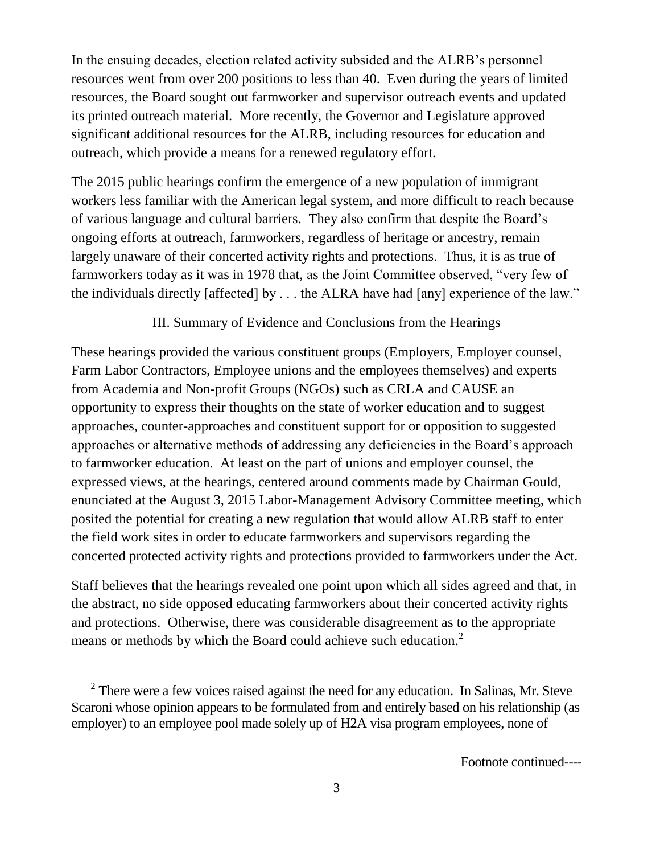In the ensuing decades, election related activity subsided and the ALRB's personnel resources went from over 200 positions to less than 40. Even during the years of limited resources, the Board sought out farmworker and supervisor outreach events and updated its printed outreach material. More recently, the Governor and Legislature approved significant additional resources for the ALRB, including resources for education and outreach, which provide a means for a renewed regulatory effort.

The 2015 public hearings confirm the emergence of a new population of immigrant workers less familiar with the American legal system, and more difficult to reach because of various language and cultural barriers. They also confirm that despite the Board's ongoing efforts at outreach, farmworkers, regardless of heritage or ancestry, remain largely unaware of their concerted activity rights and protections. Thus, it is as true of farmworkers today as it was in 1978 that, as the Joint Committee observed, "very few of the individuals directly [affected] by . . . the ALRA have had [any] experience of the law."

## III. Summary of Evidence and Conclusions from the Hearings

These hearings provided the various constituent groups (Employers, Employer counsel, Farm Labor Contractors, Employee unions and the employees themselves) and experts from Academia and Non-profit Groups (NGOs) such as CRLA and CAUSE an opportunity to express their thoughts on the state of worker education and to suggest approaches, counter-approaches and constituent support for or opposition to suggested approaches or alternative methods of addressing any deficiencies in the Board's approach to farmworker education. At least on the part of unions and employer counsel, the expressed views, at the hearings, centered around comments made by Chairman Gould, enunciated at the August 3, 2015 Labor-Management Advisory Committee meeting, which posited the potential for creating a new regulation that would allow ALRB staff to enter the field work sites in order to educate farmworkers and supervisors regarding the concerted protected activity rights and protections provided to farmworkers under the Act.

Staff believes that the hearings revealed one point upon which all sides agreed and that, in the abstract, no side opposed educating farmworkers about their concerted activity rights and protections. Otherwise, there was considerable disagreement as to the appropriate means or methods by which the Board could achieve such education.<sup>2</sup>

 $2^2$  There were a few voices raised against the need for any education. In Salinas, Mr. Steve Scaroni whose opinion appears to be formulated from and entirely based on his relationship (as employer) to an employee pool made solely up of H2A visa program employees, none of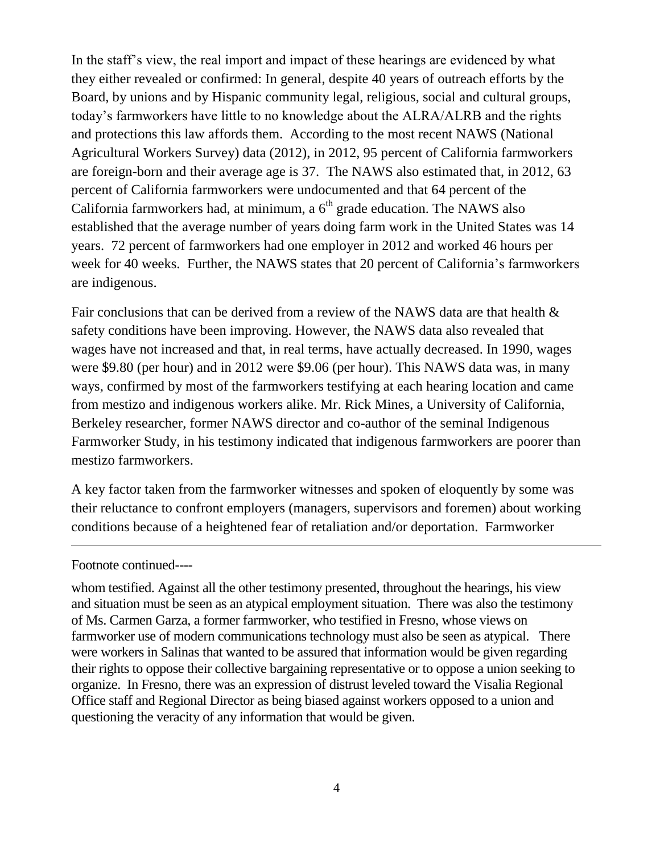In the staff's view, the real import and impact of these hearings are evidenced by what they either revealed or confirmed: In general, despite 40 years of outreach efforts by the Board, by unions and by Hispanic community legal, religious, social and cultural groups, today's farmworkers have little to no knowledge about the ALRA/ALRB and the rights and protections this law affords them. According to the most recent NAWS (National Agricultural Workers Survey) data (2012), in 2012, 95 percent of California farmworkers are foreign-born and their average age is 37. The NAWS also estimated that, in 2012, 63 percent of California farmworkers were undocumented and that 64 percent of the California farmworkers had, at minimum, a  $6<sup>th</sup>$  grade education. The NAWS also established that the average number of years doing farm work in the United States was 14 years. 72 percent of farmworkers had one employer in 2012 and worked 46 hours per week for 40 weeks. Further, the NAWS states that 20 percent of California's farmworkers are indigenous.

Fair conclusions that can be derived from a review of the NAWS data are that health & safety conditions have been improving. However, the NAWS data also revealed that wages have not increased and that, in real terms, have actually decreased. In 1990, wages were \$9.80 (per hour) and in 2012 were \$9.06 (per hour). This NAWS data was, in many ways, confirmed by most of the farmworkers testifying at each hearing location and came from mestizo and indigenous workers alike. Mr. Rick Mines, a University of California, Berkeley researcher, former NAWS director and co-author of the seminal Indigenous Farmworker Study, in his testimony indicated that indigenous farmworkers are poorer than mestizo farmworkers.

A key factor taken from the farmworker witnesses and spoken of eloquently by some was their reluctance to confront employers (managers, supervisors and foremen) about working conditions because of a heightened fear of retaliation and/or deportation. Farmworker

#### Footnote continued----

whom testified. Against all the other testimony presented, throughout the hearings, his view and situation must be seen as an atypical employment situation. There was also the testimony of Ms. Carmen Garza, a former farmworker, who testified in Fresno, whose views on farmworker use of modern communications technology must also be seen as atypical. There were workers in Salinas that wanted to be assured that information would be given regarding their rights to oppose their collective bargaining representative or to oppose a union seeking to organize. In Fresno, there was an expression of distrust leveled toward the Visalia Regional Office staff and Regional Director as being biased against workers opposed to a union and questioning the veracity of any information that would be given.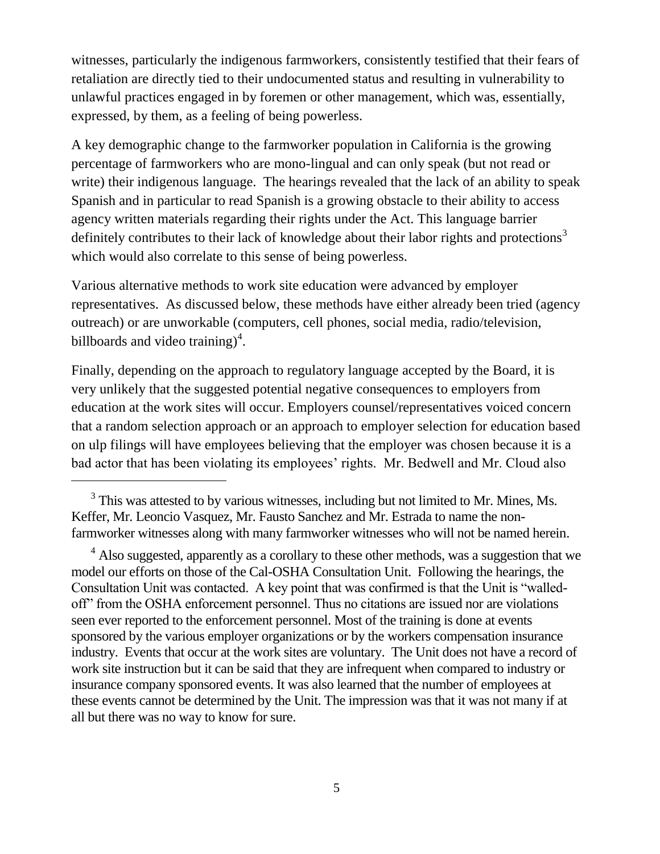witnesses, particularly the indigenous farmworkers, consistently testified that their fears of retaliation are directly tied to their undocumented status and resulting in vulnerability to unlawful practices engaged in by foremen or other management, which was, essentially, expressed, by them, as a feeling of being powerless.

A key demographic change to the farmworker population in California is the growing percentage of farmworkers who are mono-lingual and can only speak (but not read or write) their indigenous language. The hearings revealed that the lack of an ability to speak Spanish and in particular to read Spanish is a growing obstacle to their ability to access agency written materials regarding their rights under the Act. This language barrier definitely contributes to their lack of knowledge about their labor rights and protections<sup>3</sup> which would also correlate to this sense of being powerless.

Various alternative methods to work site education were advanced by employer representatives. As discussed below, these methods have either already been tried (agency outreach) or are unworkable (computers, cell phones, social media, radio/television, billboards and video training)<sup>4</sup>.

Finally, depending on the approach to regulatory language accepted by the Board, it is very unlikely that the suggested potential negative consequences to employers from education at the work sites will occur. Employers counsel/representatives voiced concern that a random selection approach or an approach to employer selection for education based on ulp filings will have employees believing that the employer was chosen because it is a bad actor that has been violating its employees' rights. Mr. Bedwell and Mr. Cloud also

 $3$  This was attested to by various witnesses, including but not limited to Mr. Mines, Ms. Keffer, Mr. Leoncio Vasquez, Mr. Fausto Sanchez and Mr. Estrada to name the nonfarmworker witnesses along with many farmworker witnesses who will not be named herein.

<sup>&</sup>lt;sup>4</sup> Also suggested, apparently as a corollary to these other methods, was a suggestion that we model our efforts on those of the Cal-OSHA Consultation Unit. Following the hearings, the Consultation Unit was contacted. A key point that was confirmed is that the Unit is "walledoff" from the OSHA enforcement personnel. Thus no citations are issued nor are violations seen ever reported to the enforcement personnel. Most of the training is done at events sponsored by the various employer organizations or by the workers compensation insurance industry. Events that occur at the work sites are voluntary. The Unit does not have a record of work site instruction but it can be said that they are infrequent when compared to industry or insurance company sponsored events. It was also learned that the number of employees at these events cannot be determined by the Unit. The impression was that it was not many if at all but there was no way to know for sure.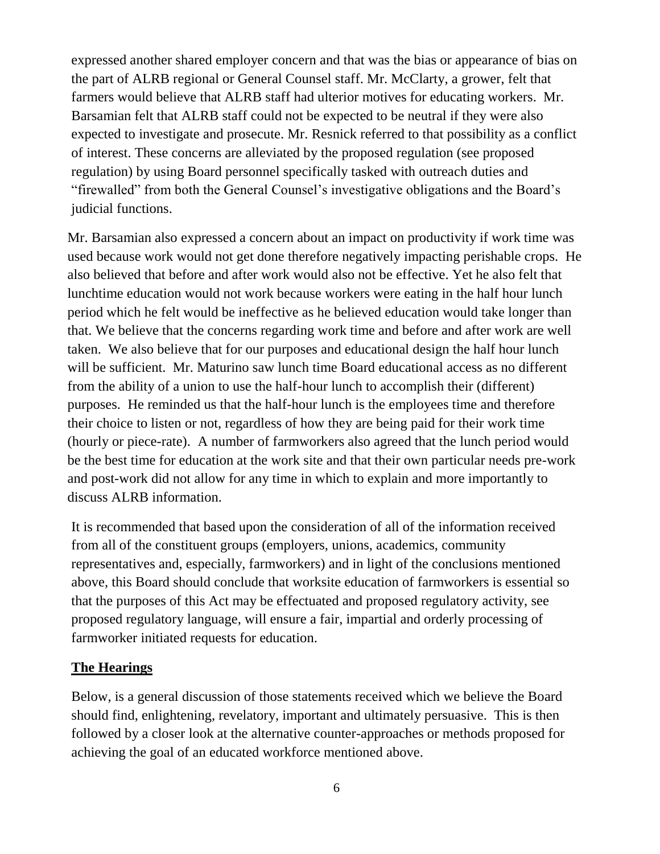expressed another shared employer concern and that was the bias or appearance of bias on the part of ALRB regional or General Counsel staff. Mr. McClarty, a grower, felt that farmers would believe that ALRB staff had ulterior motives for educating workers. Mr. Barsamian felt that ALRB staff could not be expected to be neutral if they were also expected to investigate and prosecute. Mr. Resnick referred to that possibility as a conflict of interest. These concerns are alleviated by the proposed regulation (see proposed regulation) by using Board personnel specifically tasked with outreach duties and "firewalled" from both the General Counsel's investigative obligations and the Board's judicial functions.

Mr. Barsamian also expressed a concern about an impact on productivity if work time was used because work would not get done therefore negatively impacting perishable crops. He also believed that before and after work would also not be effective. Yet he also felt that lunchtime education would not work because workers were eating in the half hour lunch period which he felt would be ineffective as he believed education would take longer than that. We believe that the concerns regarding work time and before and after work are well taken. We also believe that for our purposes and educational design the half hour lunch will be sufficient. Mr. Maturino saw lunch time Board educational access as no different from the ability of a union to use the half-hour lunch to accomplish their (different) purposes. He reminded us that the half-hour lunch is the employees time and therefore their choice to listen or not, regardless of how they are being paid for their work time (hourly or piece-rate). A number of farmworkers also agreed that the lunch period would be the best time for education at the work site and that their own particular needs pre-work and post-work did not allow for any time in which to explain and more importantly to discuss ALRB information.

It is recommended that based upon the consideration of all of the information received from all of the constituent groups (employers, unions, academics, community representatives and, especially, farmworkers) and in light of the conclusions mentioned above, this Board should conclude that worksite education of farmworkers is essential so that the purposes of this Act may be effectuated and proposed regulatory activity, see proposed regulatory language, will ensure a fair, impartial and orderly processing of farmworker initiated requests for education.

## **The Hearings**

Below, is a general discussion of those statements received which we believe the Board should find, enlightening, revelatory, important and ultimately persuasive. This is then followed by a closer look at the alternative counter-approaches or methods proposed for achieving the goal of an educated workforce mentioned above.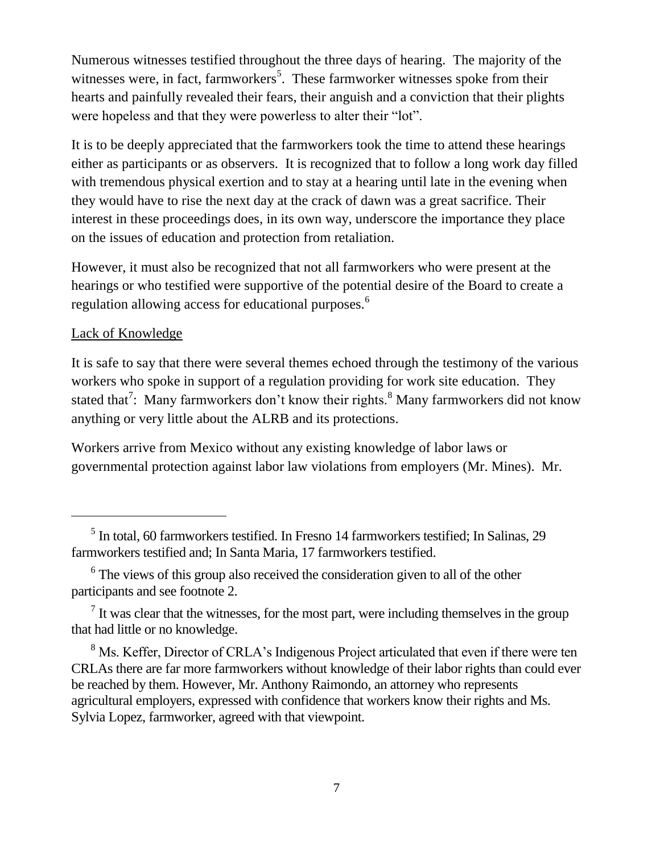Numerous witnesses testified throughout the three days of hearing. The majority of the witnesses were, in fact, farmworkers<sup>5</sup>. These farmworker witnesses spoke from their hearts and painfully revealed their fears, their anguish and a conviction that their plights were hopeless and that they were powerless to alter their "lot".

It is to be deeply appreciated that the farmworkers took the time to attend these hearings either as participants or as observers. It is recognized that to follow a long work day filled with tremendous physical exertion and to stay at a hearing until late in the evening when they would have to rise the next day at the crack of dawn was a great sacrifice. Their interest in these proceedings does, in its own way, underscore the importance they place on the issues of education and protection from retaliation.

However, it must also be recognized that not all farmworkers who were present at the hearings or who testified were supportive of the potential desire of the Board to create a regulation allowing access for educational purposes.<sup>6</sup>

## Lack of Knowledge

It is safe to say that there were several themes echoed through the testimony of the various workers who spoke in support of a regulation providing for work site education. They stated that<sup>7</sup>: Many farmworkers don't know their rights.<sup>8</sup> Many farmworkers did not know anything or very little about the ALRB and its protections.

Workers arrive from Mexico without any existing knowledge of labor laws or governmental protection against labor law violations from employers (Mr. Mines). Mr.

<sup>5</sup> In total, 60 farmworkers testified. In Fresno 14 farmworkers testified; In Salinas, 29 farmworkers testified and; In Santa Maria, 17 farmworkers testified.

<sup>&</sup>lt;sup>6</sup> The views of this group also received the consideration given to all of the other participants and see footnote 2.

 $<sup>7</sup>$  It was clear that the witnesses, for the most part, were including themselves in the group</sup> that had little or no knowledge.

<sup>&</sup>lt;sup>8</sup> Ms. Keffer, Director of CRLA's Indigenous Project articulated that even if there were ten CRLAs there are far more farmworkers without knowledge of their labor rights than could ever be reached by them. However, Mr. Anthony Raimondo, an attorney who represents agricultural employers, expressed with confidence that workers know their rights and Ms. Sylvia Lopez, farmworker, agreed with that viewpoint.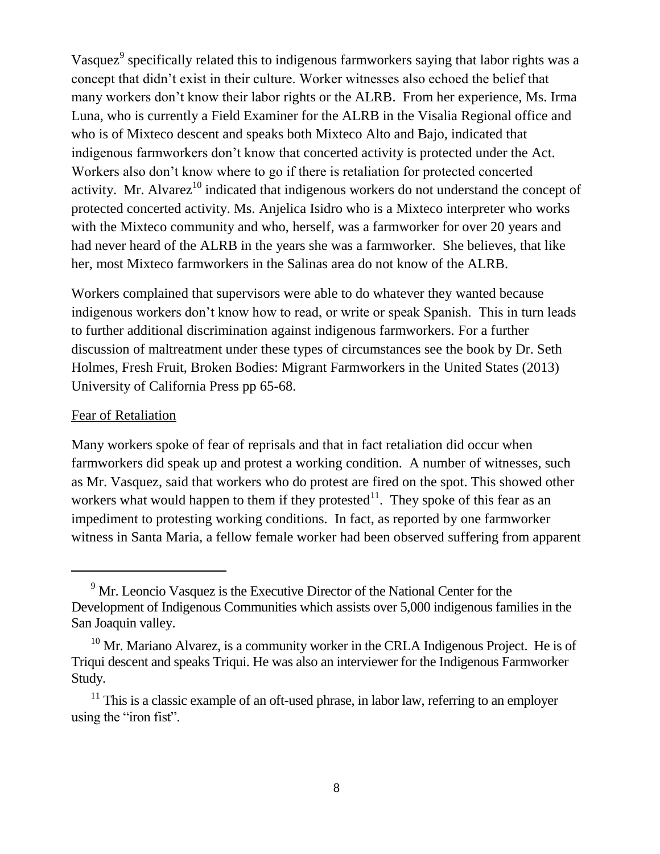Vasquez<sup>9</sup> specifically related this to indigenous farmworkers saying that labor rights was a concept that didn't exist in their culture. Worker witnesses also echoed the belief that many workers don't know their labor rights or the ALRB. From her experience, Ms. Irma Luna, who is currently a Field Examiner for the ALRB in the Visalia Regional office and who is of Mixteco descent and speaks both Mixteco Alto and Bajo, indicated that indigenous farmworkers don't know that concerted activity is protected under the Act. Workers also don't know where to go if there is retaliation for protected concerted activity. Mr. Alvarez<sup>10</sup> indicated that indigenous workers do not understand the concept of protected concerted activity. Ms. Anjelica Isidro who is a Mixteco interpreter who works with the Mixteco community and who, herself, was a farmworker for over 20 years and had never heard of the ALRB in the years she was a farmworker. She believes, that like her, most Mixteco farmworkers in the Salinas area do not know of the ALRB.

Workers complained that supervisors were able to do whatever they wanted because indigenous workers don't know how to read, or write or speak Spanish. This in turn leads to further additional discrimination against indigenous farmworkers. For a further discussion of maltreatment under these types of circumstances see the book by Dr. Seth Holmes, Fresh Fruit, Broken Bodies: Migrant Farmworkers in the United States (2013) University of California Press pp 65-68.

#### Fear of Retaliation

Many workers spoke of fear of reprisals and that in fact retaliation did occur when farmworkers did speak up and protest a working condition. A number of witnesses, such as Mr. Vasquez, said that workers who do protest are fired on the spot. This showed other workers what would happen to them if they protested<sup>11</sup>. They spoke of this fear as an impediment to protesting working conditions. In fact, as reported by one farmworker witness in Santa Maria, a fellow female worker had been observed suffering from apparent

<sup>&</sup>lt;sup>9</sup> Mr. Leoncio Vasquez is the Executive Director of the National Center for the Development of Indigenous Communities which assists over 5,000 indigenous families in the San Joaquin valley.

 $10$  Mr. Mariano Alvarez, is a community worker in the CRLA Indigenous Project. He is of Triqui descent and speaks Triqui. He was also an interviewer for the Indigenous Farmworker Study.

 $11$  This is a classic example of an oft-used phrase, in labor law, referring to an employer using the "iron fist".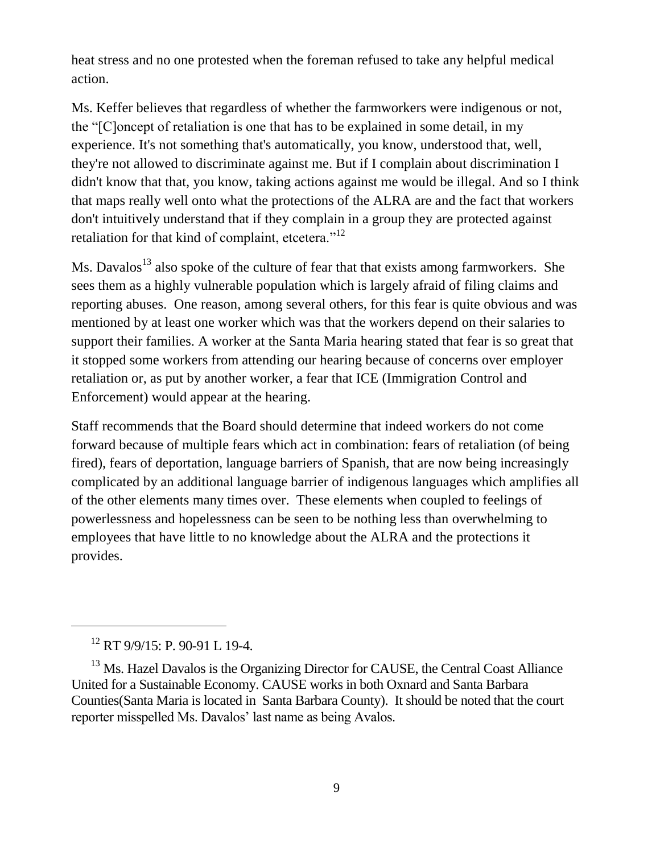heat stress and no one protested when the foreman refused to take any helpful medical action.

Ms. Keffer believes that regardless of whether the farmworkers were indigenous or not, the "[C]oncept of retaliation is one that has to be explained in some detail, in my experience. It's not something that's automatically, you know, understood that, well, they're not allowed to discriminate against me. But if I complain about discrimination I didn't know that that, you know, taking actions against me would be illegal. And so I think that maps really well onto what the protections of the ALRA are and the fact that workers don't intuitively understand that if they complain in a group they are protected against retaliation for that kind of complaint, etcetera."<sup>12</sup>

Ms. Davalos<sup>13</sup> also spoke of the culture of fear that that exists among farmworkers. She sees them as a highly vulnerable population which is largely afraid of filing claims and reporting abuses. One reason, among several others, for this fear is quite obvious and was mentioned by at least one worker which was that the workers depend on their salaries to support their families. A worker at the Santa Maria hearing stated that fear is so great that it stopped some workers from attending our hearing because of concerns over employer retaliation or, as put by another worker, a fear that ICE (Immigration Control and Enforcement) would appear at the hearing.

Staff recommends that the Board should determine that indeed workers do not come forward because of multiple fears which act in combination: fears of retaliation (of being fired), fears of deportation, language barriers of Spanish, that are now being increasingly complicated by an additional language barrier of indigenous languages which amplifies all of the other elements many times over. These elements when coupled to feelings of powerlessness and hopelessness can be seen to be nothing less than overwhelming to employees that have little to no knowledge about the ALRA and the protections it provides.

<sup>12</sup> RT 9/9/15: P. 90-91 L 19-4.

<sup>&</sup>lt;sup>13</sup> Ms. Hazel Davalos is the Organizing Director for CAUSE, the Central Coast Alliance United for a Sustainable Economy. CAUSE works in both Oxnard and Santa Barbara Counties(Santa Maria is located in Santa Barbara County). It should be noted that the court reporter misspelled Ms. Davalos' last name as being Avalos.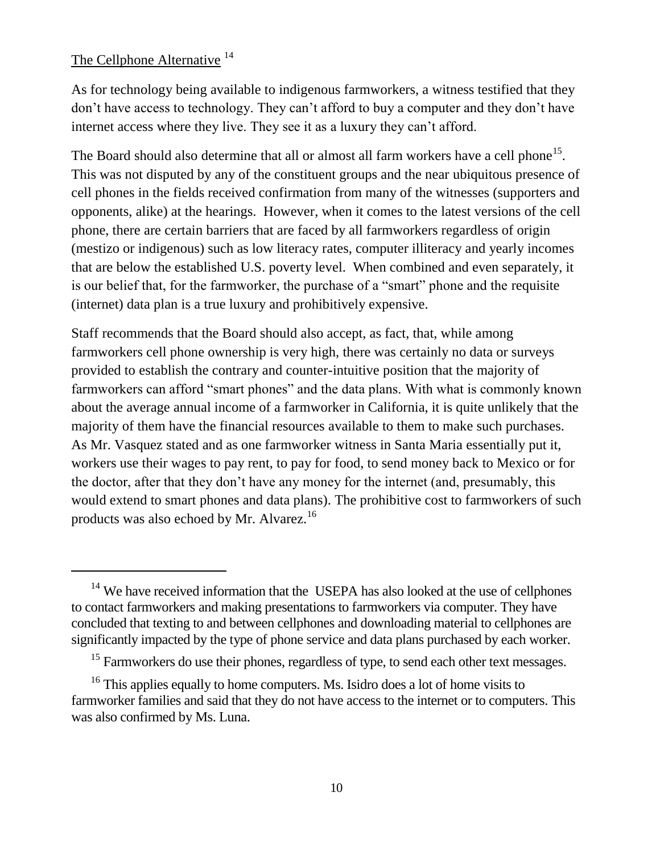## The Cellphone Alternative <sup>14</sup>

As for technology being available to indigenous farmworkers, a witness testified that they don't have access to technology. They can't afford to buy a computer and they don't have internet access where they live. They see it as a luxury they can't afford.

The Board should also determine that all or almost all farm workers have a cell phone<sup>15</sup>. This was not disputed by any of the constituent groups and the near ubiquitous presence of cell phones in the fields received confirmation from many of the witnesses (supporters and opponents, alike) at the hearings. However, when it comes to the latest versions of the cell phone, there are certain barriers that are faced by all farmworkers regardless of origin (mestizo or indigenous) such as low literacy rates, computer illiteracy and yearly incomes that are below the established U.S. poverty level. When combined and even separately, it is our belief that, for the farmworker, the purchase of a "smart" phone and the requisite (internet) data plan is a true luxury and prohibitively expensive.

Staff recommends that the Board should also accept, as fact, that, while among farmworkers cell phone ownership is very high, there was certainly no data or surveys provided to establish the contrary and counter-intuitive position that the majority of farmworkers can afford "smart phones" and the data plans. With what is commonly known about the average annual income of a farmworker in California, it is quite unlikely that the majority of them have the financial resources available to them to make such purchases. As Mr. Vasquez stated and as one farmworker witness in Santa Maria essentially put it, workers use their wages to pay rent, to pay for food, to send money back to Mexico or for the doctor, after that they don't have any money for the internet (and, presumably, this would extend to smart phones and data plans). The prohibitive cost to farmworkers of such products was also echoed by Mr. Alvarez.<sup>16</sup>

<sup>&</sup>lt;sup>14</sup> We have received information that the USEPA has also looked at the use of cellphones to contact farmworkers and making presentations to farmworkers via computer. They have concluded that texting to and between cellphones and downloading material to cellphones are significantly impacted by the type of phone service and data plans purchased by each worker.

<sup>&</sup>lt;sup>15</sup> Farmworkers do use their phones, regardless of type, to send each other text messages.

<sup>&</sup>lt;sup>16</sup> This applies equally to home computers. Ms. Isidro does a lot of home visits to farmworker families and said that they do not have access to the internet or to computers. This was also confirmed by Ms. Luna.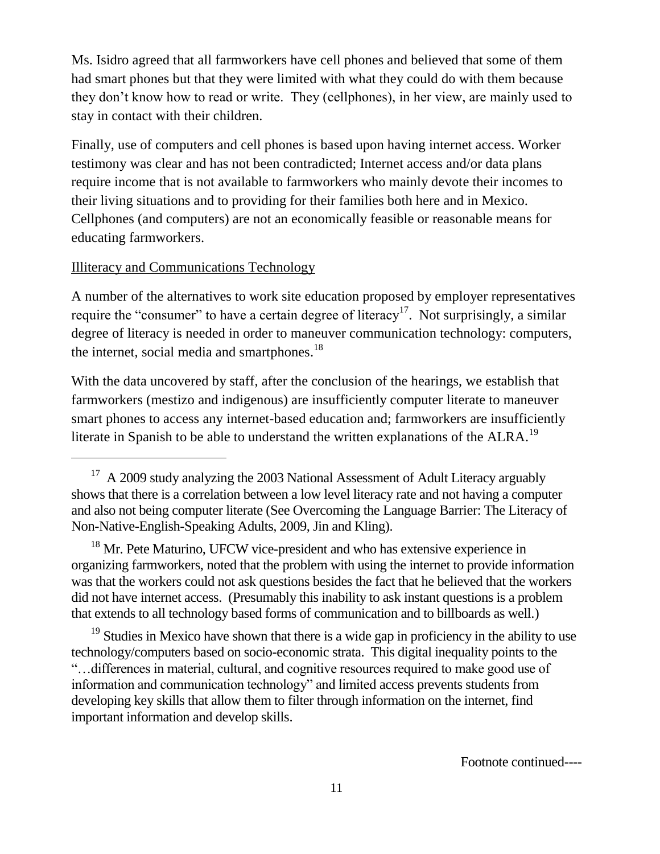Ms. Isidro agreed that all farmworkers have cell phones and believed that some of them had smart phones but that they were limited with what they could do with them because they don't know how to read or write. They (cellphones), in her view, are mainly used to stay in contact with their children.

Finally, use of computers and cell phones is based upon having internet access. Worker testimony was clear and has not been contradicted; Internet access and/or data plans require income that is not available to farmworkers who mainly devote their incomes to their living situations and to providing for their families both here and in Mexico. Cellphones (and computers) are not an economically feasible or reasonable means for educating farmworkers.

## Illiteracy and Communications Technology

A number of the alternatives to work site education proposed by employer representatives require the "consumer" to have a certain degree of literacy<sup>17</sup>. Not surprisingly, a similar degree of literacy is needed in order to maneuver communication technology: computers, the internet, social media and smartphones. $^{18}$ 

With the data uncovered by staff, after the conclusion of the hearings, we establish that farmworkers (mestizo and indigenous) are insufficiently computer literate to maneuver smart phones to access any internet-based education and; farmworkers are insufficiently literate in Spanish to be able to understand the written explanations of the ALRA.<sup>19</sup>

<sup>18</sup> Mr. Pete Maturino, UFCW vice-president and who has extensive experience in organizing farmworkers, noted that the problem with using the internet to provide information was that the workers could not ask questions besides the fact that he believed that the workers did not have internet access. (Presumably this inability to ask instant questions is a problem that extends to all technology based forms of communication and to billboards as well.)

 $19$  Studies in Mexico have shown that there is a wide gap in proficiency in the ability to use technology/computers based on socio-economic strata. This digital inequality points to the "…differences in material, cultural, and cognitive resources required to make good use of information and communication technology" and limited access prevents students from developing key skills that allow them to filter through information on the internet, find important information and develop skills.

<sup>&</sup>lt;sup>17</sup> A 2009 study analyzing the 2003 National Assessment of Adult Literacy arguably shows that there is a correlation between a low level literacy rate and not having a computer and also not being computer literate (See Overcoming the Language Barrier: The Literacy of Non-Native-English-Speaking Adults, 2009, Jin and Kling).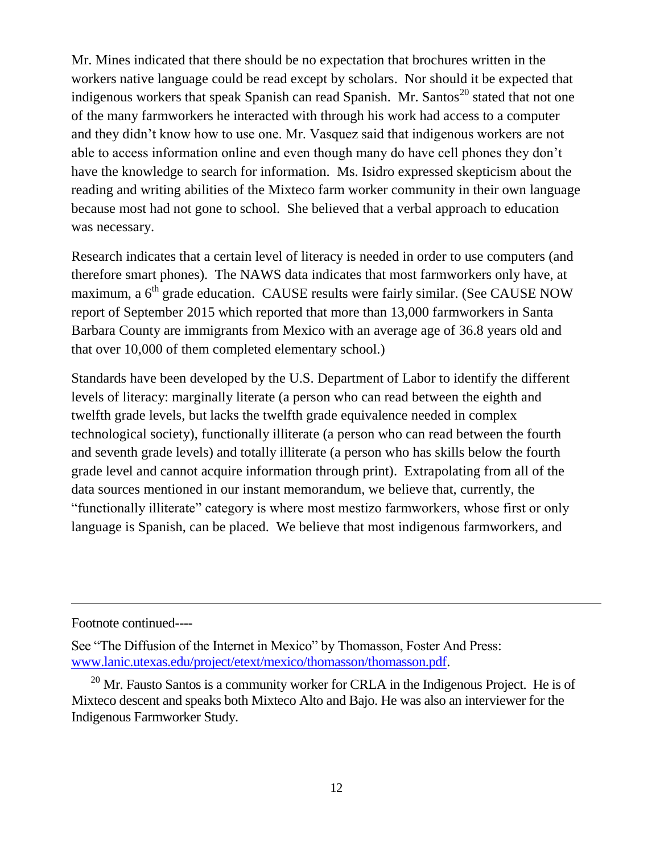Mr. Mines indicated that there should be no expectation that brochures written in the workers native language could be read except by scholars. Nor should it be expected that indigenous workers that speak Spanish can read Spanish. Mr. Santos<sup>20</sup> stated that not one of the many farmworkers he interacted with through his work had access to a computer and they didn't know how to use one. Mr. Vasquez said that indigenous workers are not able to access information online and even though many do have cell phones they don't have the knowledge to search for information. Ms. Isidro expressed skepticism about the reading and writing abilities of the Mixteco farm worker community in their own language because most had not gone to school. She believed that a verbal approach to education was necessary.

Research indicates that a certain level of literacy is needed in order to use computers (and therefore smart phones). The NAWS data indicates that most farmworkers only have, at maximum, a 6<sup>th</sup> grade education. CAUSE results were fairly similar. (See CAUSE NOW report of September 2015 which reported that more than 13,000 farmworkers in Santa Barbara County are immigrants from Mexico with an average age of 36.8 years old and that over 10,000 of them completed elementary school.)

Standards have been developed by the U.S. Department of Labor to identify the different levels of literacy: marginally literate (a person who can read between the eighth and twelfth grade levels, but lacks the twelfth grade equivalence needed in complex technological society), functionally illiterate (a person who can read between the fourth and seventh grade levels) and totally illiterate (a person who has skills below the fourth grade level and cannot acquire information through print). Extrapolating from all of the data sources mentioned in our instant memorandum, we believe that, currently, the "functionally illiterate" category is where most mestizo farmworkers, whose first or only language is Spanish, can be placed. We believe that most indigenous farmworkers, and

Footnote continued----

See "The Diffusion of the Internet in Mexico" by Thomasson, Foster And Press: [www.lanic.utexas.edu/project/etext/mexico/thomasson/thomasson.pdf.](http://www.lanic.utexas.edu/project/etext/mexico/thomasson/thomasson.pdf)

 $20$  Mr. Fausto Santos is a community worker for CRLA in the Indigenous Project. He is of Mixteco descent and speaks both Mixteco Alto and Bajo. He was also an interviewer for the Indigenous Farmworker Study.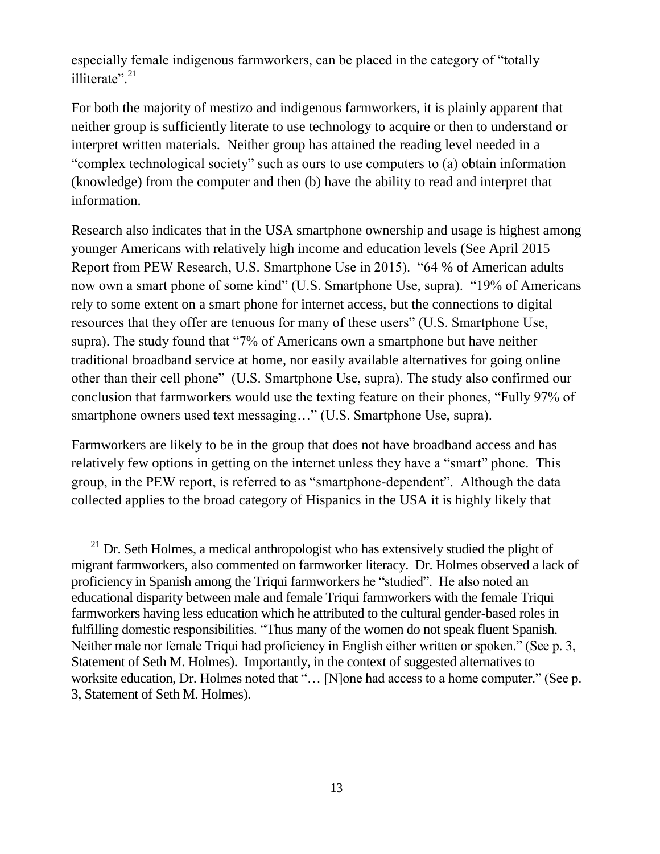especially female indigenous farmworkers, can be placed in the category of "totally illiterate".<sup>21</sup>

For both the majority of mestizo and indigenous farmworkers, it is plainly apparent that neither group is sufficiently literate to use technology to acquire or then to understand or interpret written materials. Neither group has attained the reading level needed in a "complex technological society" such as ours to use computers to (a) obtain information (knowledge) from the computer and then (b) have the ability to read and interpret that information.

Research also indicates that in the USA smartphone ownership and usage is highest among younger Americans with relatively high income and education levels (See April 2015 Report from PEW Research, U.S. Smartphone Use in 2015). "64 % of American adults now own a smart phone of some kind" (U.S. Smartphone Use, supra). "19% of Americans rely to some extent on a smart phone for internet access, but the connections to digital resources that they offer are tenuous for many of these users" (U.S. Smartphone Use, supra). The study found that "7% of Americans own a smartphone but have neither traditional broadband service at home, nor easily available alternatives for going online other than their cell phone" (U.S. Smartphone Use, supra). The study also confirmed our conclusion that farmworkers would use the texting feature on their phones, "Fully 97% of smartphone owners used text messaging..." (U.S. Smartphone Use, supra).

Farmworkers are likely to be in the group that does not have broadband access and has relatively few options in getting on the internet unless they have a "smart" phone. This group, in the PEW report, is referred to as "smartphone-dependent". Although the data collected applies to the broad category of Hispanics in the USA it is highly likely that

 $21$  Dr. Seth Holmes, a medical anthropologist who has extensively studied the plight of migrant farmworkers, also commented on farmworker literacy. Dr. Holmes observed a lack of proficiency in Spanish among the Triqui farmworkers he "studied". He also noted an educational disparity between male and female Triqui farmworkers with the female Triqui farmworkers having less education which he attributed to the cultural gender-based roles in fulfilling domestic responsibilities. "Thus many of the women do not speak fluent Spanish. Neither male nor female Triqui had proficiency in English either written or spoken." (See p. 3, Statement of Seth M. Holmes). Importantly, in the context of suggested alternatives to worksite education, Dr. Holmes noted that "... [N]one had access to a home computer." (See p. 3, Statement of Seth M. Holmes).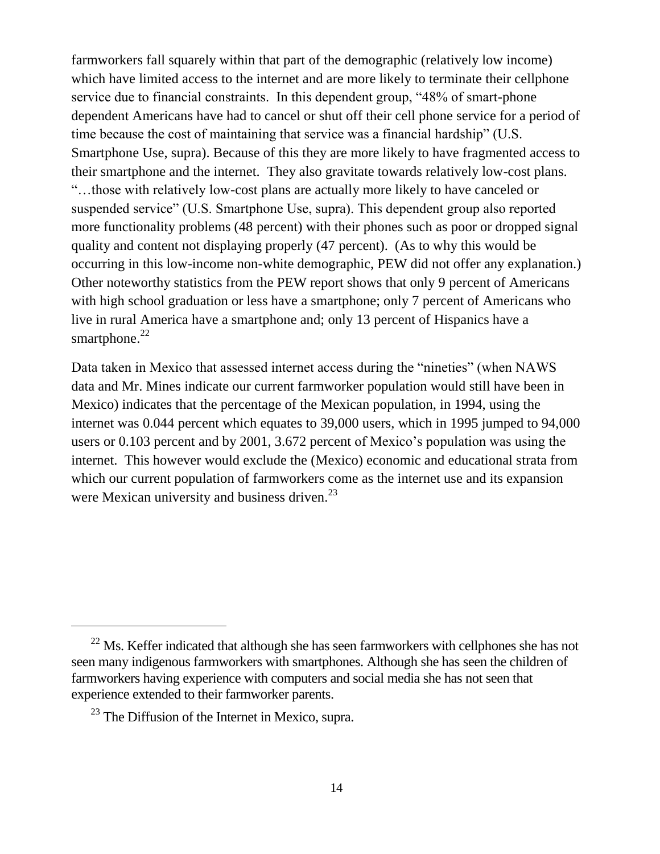farmworkers fall squarely within that part of the demographic (relatively low income) which have limited access to the internet and are more likely to terminate their cellphone service due to financial constraints. In this dependent group, "48% of smart-phone dependent Americans have had to cancel or shut off their cell phone service for a period of time because the cost of maintaining that service was a financial hardship" (U.S. Smartphone Use, supra). Because of this they are more likely to have fragmented access to their smartphone and the internet. They also gravitate towards relatively low-cost plans. "…those with relatively low-cost plans are actually more likely to have canceled or suspended service" (U.S. Smartphone Use, supra). This dependent group also reported more functionality problems (48 percent) with their phones such as poor or dropped signal quality and content not displaying properly (47 percent). (As to why this would be occurring in this low-income non-white demographic, PEW did not offer any explanation.) Other noteworthy statistics from the PEW report shows that only 9 percent of Americans with high school graduation or less have a smartphone; only 7 percent of Americans who live in rural America have a smartphone and; only 13 percent of Hispanics have a smartphone.<sup>22</sup>

Data taken in Mexico that assessed internet access during the "nineties" (when NAWS data and Mr. Mines indicate our current farmworker population would still have been in Mexico) indicates that the percentage of the Mexican population, in 1994, using the internet was 0.044 percent which equates to 39,000 users, which in 1995 jumped to 94,000 users or 0.103 percent and by 2001, 3.672 percent of Mexico's population was using the internet. This however would exclude the (Mexico) economic and educational strata from which our current population of farmworkers come as the internet use and its expansion were Mexican university and business driven.<sup>23</sup>

 $22$  Ms. Keffer indicated that although she has seen farmworkers with cellphones she has not seen many indigenous farmworkers with smartphones. Although she has seen the children of farmworkers having experience with computers and social media she has not seen that experience extended to their farmworker parents.

 $^{23}$  The Diffusion of the Internet in Mexico, supra.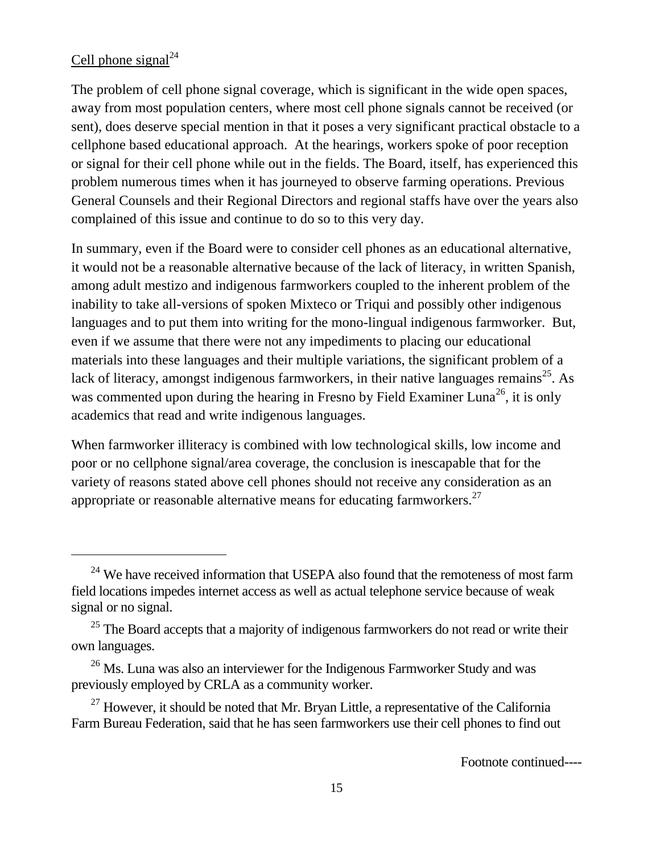## Cell phone signal $^{24}$

The problem of cell phone signal coverage, which is significant in the wide open spaces, away from most population centers, where most cell phone signals cannot be received (or sent), does deserve special mention in that it poses a very significant practical obstacle to a cellphone based educational approach. At the hearings, workers spoke of poor reception or signal for their cell phone while out in the fields. The Board, itself, has experienced this problem numerous times when it has journeyed to observe farming operations. Previous General Counsels and their Regional Directors and regional staffs have over the years also complained of this issue and continue to do so to this very day.

In summary, even if the Board were to consider cell phones as an educational alternative, it would not be a reasonable alternative because of the lack of literacy, in written Spanish, among adult mestizo and indigenous farmworkers coupled to the inherent problem of the inability to take all-versions of spoken Mixteco or Triqui and possibly other indigenous languages and to put them into writing for the mono-lingual indigenous farmworker. But, even if we assume that there were not any impediments to placing our educational materials into these languages and their multiple variations, the significant problem of a lack of literacy, amongst indigenous farmworkers, in their native languages remains<sup>25</sup>. As was commented upon during the hearing in Fresno by Field Examiner Luna<sup>26</sup>, it is only academics that read and write indigenous languages.

When farmworker illiteracy is combined with low technological skills, low income and poor or no cellphone signal/area coverage, the conclusion is inescapable that for the variety of reasons stated above cell phones should not receive any consideration as an appropriate or reasonable alternative means for educating farmworkers.<sup>27</sup>

<sup>&</sup>lt;sup>24</sup> We have received information that USEPA also found that the remoteness of most farm field locations impedes internet access as well as actual telephone service because of weak signal or no signal.

 $25$  The Board accepts that a majority of indigenous farmworkers do not read or write their own languages.

 $26$  Ms. Luna was also an interviewer for the Indigenous Farmworker Study and was previously employed by CRLA as a community worker.

 $^{27}$  However, it should be noted that Mr. Bryan Little, a representative of the California Farm Bureau Federation, said that he has seen farmworkers use their cell phones to find out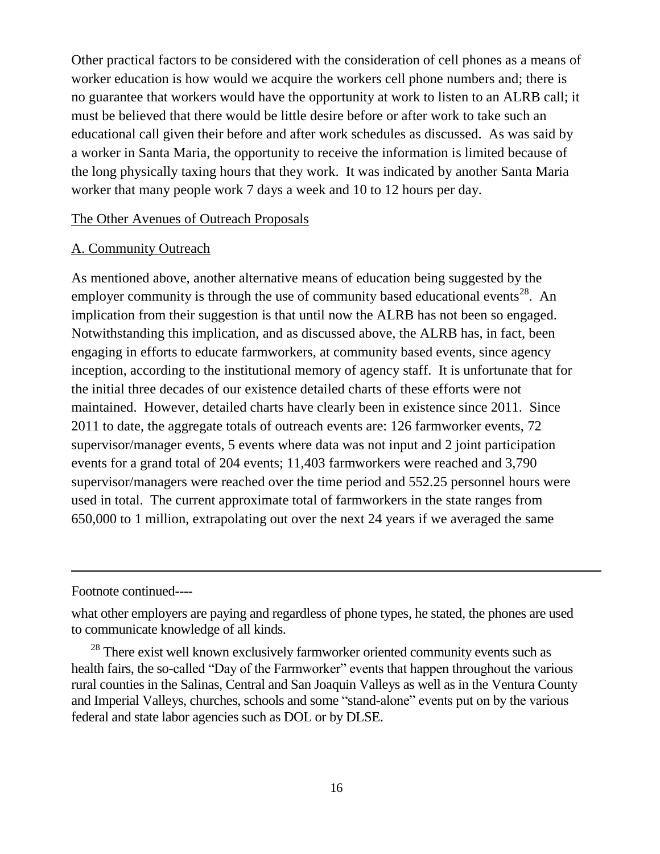Other practical factors to be considered with the consideration of cell phones as a means of worker education is how would we acquire the workers cell phone numbers and; there is no guarantee that workers would have the opportunity at work to listen to an ALRB call; it must be believed that there would be little desire before or after work to take such an educational call given their before and after work schedules as discussed. As was said by a worker in Santa Maria, the opportunity to receive the information is limited because of the long physically taxing hours that they work. It was indicated by another Santa Maria worker that many people work 7 days a week and 10 to 12 hours per day.

The Other Avenues of Outreach Proposals

#### A. Community Outreach

As mentioned above, another alternative means of education being suggested by the employer community is through the use of community based educational events<sup>28</sup>. An implication from their suggestion is that until now the ALRB has not been so engaged. Notwithstanding this implication, and as discussed above, the ALRB has, in fact, been engaging in efforts to educate farmworkers, at community based events, since agency inception, according to the institutional memory of agency staff. It is unfortunate that for the initial three decades of our existence detailed charts of these efforts were not maintained. However, detailed charts have clearly been in existence since 2011. Since 2011 to date, the aggregate totals of outreach events are: 126 farmworker events, 72 supervisor/manager events, 5 events where data was not input and 2 joint participation events for a grand total of 204 events; 11,403 farmworkers were reached and 3,790 supervisor/managers were reached over the time period and 552.25 personnel hours were used in total. The current approximate total of farmworkers in the state ranges from 650,000 to 1 million, extrapolating out over the next 24 years if we averaged the same

Footnote continued----

what other employers are paying and regardless of phone types, he stated, the phones are used to communicate knowledge of all kinds.

<sup>28</sup> There exist well known exclusively farmworker oriented community events such as health fairs, the so-called "Day of the Farmworker" events that happen throughout the various rural counties in the Salinas, Central and San Joaquin Valleys as well as in the Ventura County and Imperial Valleys, churches, schools and some "stand-alone" events put on by the various federal and state labor agencies such as DOL or by DLSE.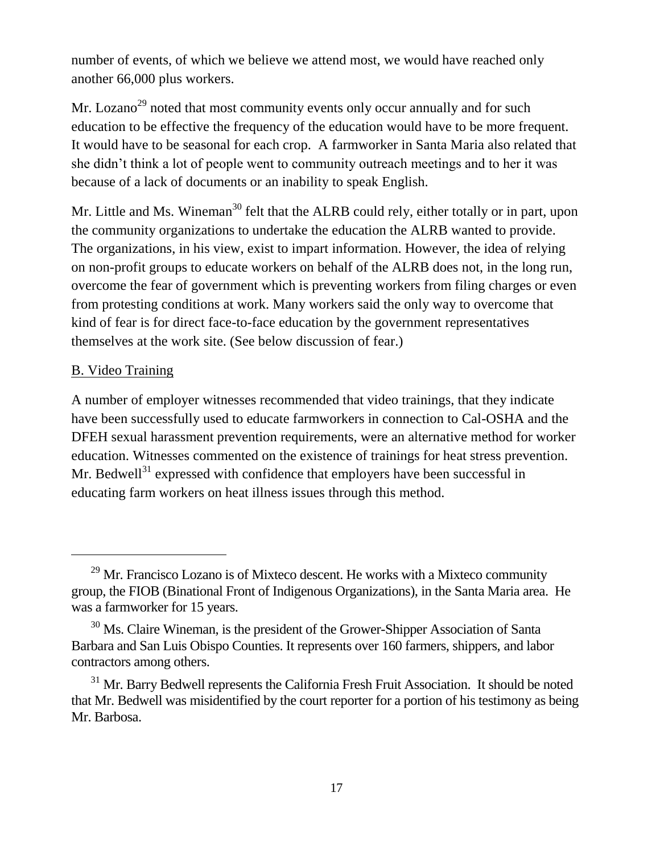number of events, of which we believe we attend most, we would have reached only another 66,000 plus workers.

Mr. Lozano<sup>29</sup> noted that most community events only occur annually and for such education to be effective the frequency of the education would have to be more frequent. It would have to be seasonal for each crop. A farmworker in Santa Maria also related that she didn't think a lot of people went to community outreach meetings and to her it was because of a lack of documents or an inability to speak English.

Mr. Little and Ms. Wineman<sup>30</sup> felt that the ALRB could rely, either totally or in part, upon the community organizations to undertake the education the ALRB wanted to provide. The organizations, in his view, exist to impart information. However, the idea of relying on non-profit groups to educate workers on behalf of the ALRB does not, in the long run, overcome the fear of government which is preventing workers from filing charges or even from protesting conditions at work. Many workers said the only way to overcome that kind of fear is for direct face-to-face education by the government representatives themselves at the work site. (See below discussion of fear.)

## B. Video Training

A number of employer witnesses recommended that video trainings, that they indicate have been successfully used to educate farmworkers in connection to Cal-OSHA and the DFEH sexual harassment prevention requirements, were an alternative method for worker education. Witnesses commented on the existence of trainings for heat stress prevention. Mr. Bedwell<sup>31</sup> expressed with confidence that employers have been successful in educating farm workers on heat illness issues through this method.

 $29$  Mr. Francisco Lozano is of Mixteco descent. He works with a Mixteco community group, the FIOB (Binational Front of Indigenous Organizations), in the Santa Maria area. He was a farmworker for 15 years.

<sup>&</sup>lt;sup>30</sup> Ms. Claire Wineman, is the president of the Grower-Shipper Association of Santa Barbara and San Luis Obispo Counties. It represents over 160 farmers, shippers, and labor contractors among others.

 $31$  Mr. Barry Bedwell represents the California Fresh Fruit Association. It should be noted that Mr. Bedwell was misidentified by the court reporter for a portion of his testimony as being Mr. Barbosa.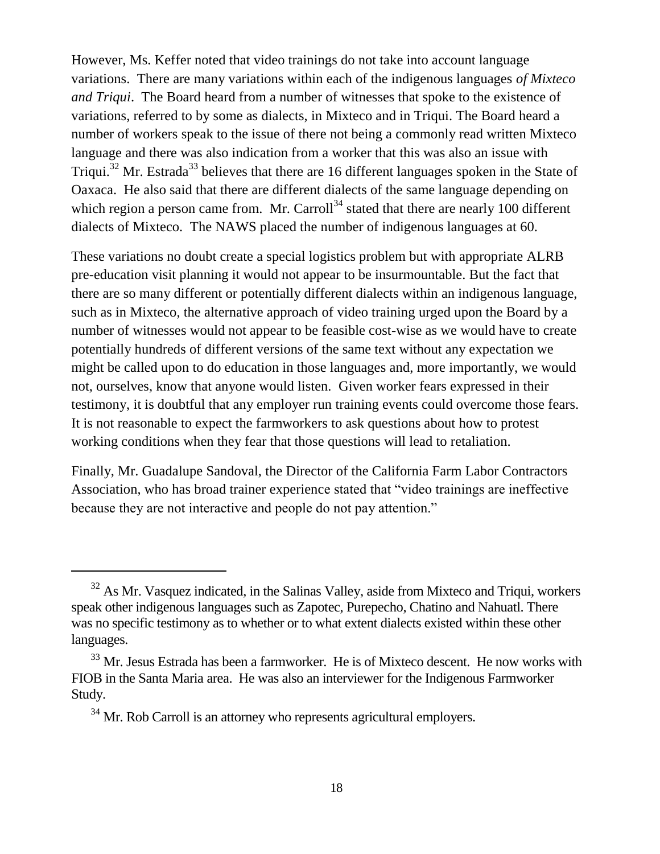However, Ms. Keffer noted that video trainings do not take into account language variations. There are many variations within each of the indigenous languages *of Mixteco and Triqui*. The Board heard from a number of witnesses that spoke to the existence of variations, referred to by some as dialects, in Mixteco and in Triqui. The Board heard a number of workers speak to the issue of there not being a commonly read written Mixteco language and there was also indication from a worker that this was also an issue with Triqui.<sup>32</sup> Mr. Estrada<sup>33</sup> believes that there are 16 different languages spoken in the State of Oaxaca. He also said that there are different dialects of the same language depending on which region a person came from. Mr. Carroll<sup>34</sup> stated that there are nearly 100 different dialects of Mixteco. The NAWS placed the number of indigenous languages at 60.

These variations no doubt create a special logistics problem but with appropriate ALRB pre-education visit planning it would not appear to be insurmountable. But the fact that there are so many different or potentially different dialects within an indigenous language, such as in Mixteco, the alternative approach of video training urged upon the Board by a number of witnesses would not appear to be feasible cost-wise as we would have to create potentially hundreds of different versions of the same text without any expectation we might be called upon to do education in those languages and, more importantly, we would not, ourselves, know that anyone would listen. Given worker fears expressed in their testimony, it is doubtful that any employer run training events could overcome those fears. It is not reasonable to expect the farmworkers to ask questions about how to protest working conditions when they fear that those questions will lead to retaliation.

Finally, Mr. Guadalupe Sandoval, the Director of the California Farm Labor Contractors Association, who has broad trainer experience stated that "video trainings are ineffective because they are not interactive and people do not pay attention."

<sup>&</sup>lt;sup>32</sup> As Mr. Vasquez indicated, in the Salinas Valley, aside from Mixteco and Triqui, workers speak other indigenous languages such as Zapotec, Purepecho, Chatino and Nahuatl. There was no specific testimony as to whether or to what extent dialects existed within these other languages.

<sup>&</sup>lt;sup>33</sup> Mr. Jesus Estrada has been a farmworker. He is of Mixteco descent. He now works with FIOB in the Santa Maria area. He was also an interviewer for the Indigenous Farmworker Study.

 $34$  Mr. Rob Carroll is an attorney who represents agricultural employers.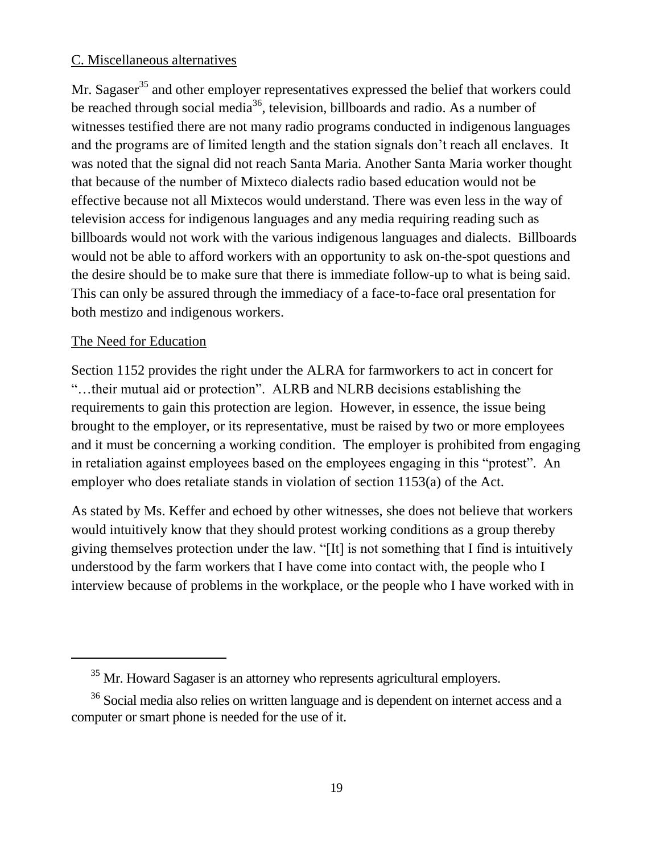## C. Miscellaneous alternatives

Mr. Sagaser<sup>35</sup> and other employer representatives expressed the belief that workers could be reached through social media<sup>36</sup>, television, billboards and radio. As a number of witnesses testified there are not many radio programs conducted in indigenous languages and the programs are of limited length and the station signals don't reach all enclaves. It was noted that the signal did not reach Santa Maria. Another Santa Maria worker thought that because of the number of Mixteco dialects radio based education would not be effective because not all Mixtecos would understand. There was even less in the way of television access for indigenous languages and any media requiring reading such as billboards would not work with the various indigenous languages and dialects. Billboards would not be able to afford workers with an opportunity to ask on-the-spot questions and the desire should be to make sure that there is immediate follow-up to what is being said. This can only be assured through the immediacy of a face-to-face oral presentation for both mestizo and indigenous workers.

## The Need for Education

 $\overline{a}$ 

Section 1152 provides the right under the ALRA for farmworkers to act in concert for "…their mutual aid or protection". ALRB and NLRB decisions establishing the requirements to gain this protection are legion. However, in essence, the issue being brought to the employer, or its representative, must be raised by two or more employees and it must be concerning a working condition. The employer is prohibited from engaging in retaliation against employees based on the employees engaging in this "protest". An employer who does retaliate stands in violation of section 1153(a) of the Act.

As stated by Ms. Keffer and echoed by other witnesses, she does not believe that workers would intuitively know that they should protest working conditions as a group thereby giving themselves protection under the law. "[It] is not something that I find is intuitively understood by the farm workers that I have come into contact with, the people who I interview because of problems in the workplace, or the people who I have worked with in

<sup>&</sup>lt;sup>35</sup> Mr. Howard Sagaser is an attorney who represents agricultural employers.

<sup>&</sup>lt;sup>36</sup> Social media also relies on written language and is dependent on internet access and a computer or smart phone is needed for the use of it.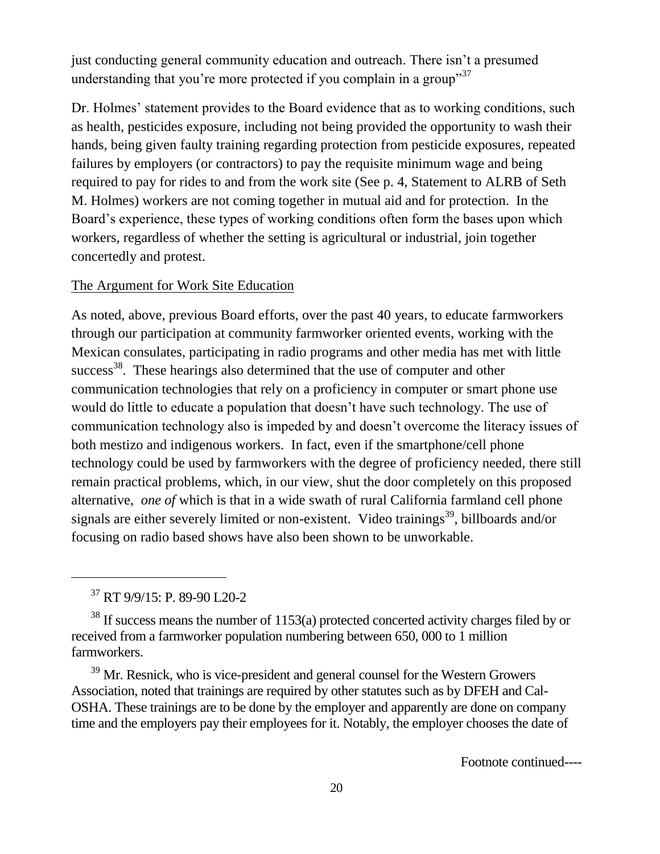just conducting general community education and outreach. There isn't a presumed understanding that you're more protected if you complain in a group"<sup>37</sup>

Dr. Holmes' statement provides to the Board evidence that as to working conditions, such as health, pesticides exposure, including not being provided the opportunity to wash their hands, being given faulty training regarding protection from pesticide exposures, repeated failures by employers (or contractors) to pay the requisite minimum wage and being required to pay for rides to and from the work site (See p. 4, Statement to ALRB of Seth M. Holmes) workers are not coming together in mutual aid and for protection. In the Board's experience, these types of working conditions often form the bases upon which workers, regardless of whether the setting is agricultural or industrial, join together concertedly and protest.

#### The Argument for Work Site Education

As noted, above, previous Board efforts, over the past 40 years, to educate farmworkers through our participation at community farmworker oriented events, working with the Mexican consulates, participating in radio programs and other media has met with little success<sup>38</sup>. These hearings also determined that the use of computer and other communication technologies that rely on a proficiency in computer or smart phone use would do little to educate a population that doesn't have such technology. The use of communication technology also is impeded by and doesn't overcome the literacy issues of both mestizo and indigenous workers. In fact, even if the smartphone/cell phone technology could be used by farmworkers with the degree of proficiency needed, there still remain practical problems, which, in our view, shut the door completely on this proposed alternative, *one of* which is that in a wide swath of rural California farmland cell phone signals are either severely limited or non-existent. Video trainings<sup>39</sup>, billboards and/or focusing on radio based shows have also been shown to be unworkable.

<sup>37</sup> RT 9/9/15: P. 89-90 L20-2

<sup>38</sup> If success means the number of 1153(a) protected concerted activity charges filed by or received from a farmworker population numbering between 650, 000 to 1 million farmworkers.

<sup>39</sup> Mr. Resnick, who is vice-president and general counsel for the Western Growers Association, noted that trainings are required by other statutes such as by DFEH and Cal-OSHA. These trainings are to be done by the employer and apparently are done on company time and the employers pay their employees for it. Notably, the employer chooses the date of

Footnote continued----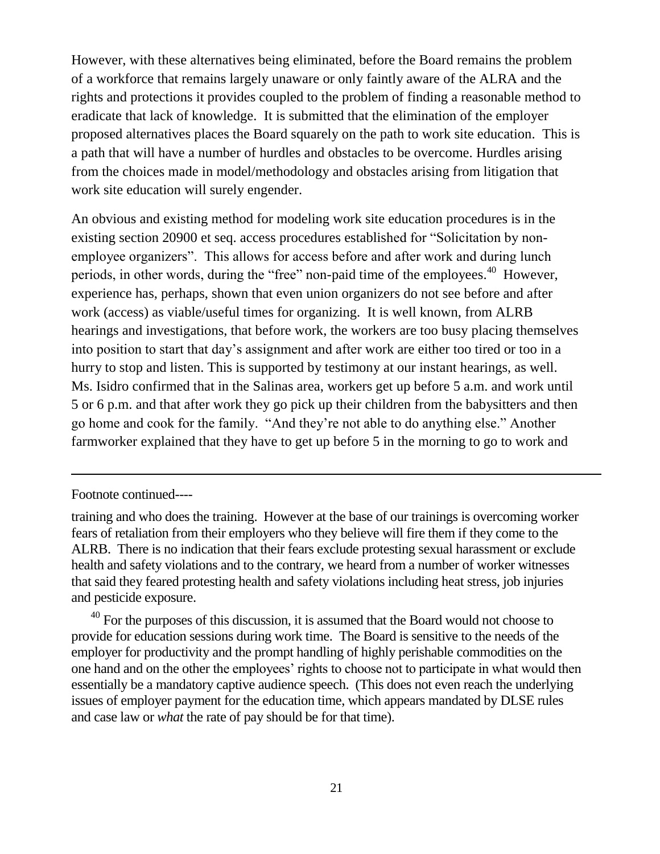However, with these alternatives being eliminated, before the Board remains the problem of a workforce that remains largely unaware or only faintly aware of the ALRA and the rights and protections it provides coupled to the problem of finding a reasonable method to eradicate that lack of knowledge. It is submitted that the elimination of the employer proposed alternatives places the Board squarely on the path to work site education. This is a path that will have a number of hurdles and obstacles to be overcome. Hurdles arising from the choices made in model/methodology and obstacles arising from litigation that work site education will surely engender.

An obvious and existing method for modeling work site education procedures is in the existing section 20900 et seq. access procedures established for "Solicitation by nonemployee organizers". This allows for access before and after work and during lunch periods, in other words, during the "free" non-paid time of the employees.<sup>40</sup> However, experience has, perhaps, shown that even union organizers do not see before and after work (access) as viable/useful times for organizing. It is well known, from ALRB hearings and investigations, that before work, the workers are too busy placing themselves into position to start that day's assignment and after work are either too tired or too in a hurry to stop and listen. This is supported by testimony at our instant hearings, as well. Ms. Isidro confirmed that in the Salinas area, workers get up before 5 a.m. and work until 5 or 6 p.m. and that after work they go pick up their children from the babysitters and then go home and cook for the family. "And they're not able to do anything else." Another farmworker explained that they have to get up before 5 in the morning to go to work and

Footnote continued----

 $\overline{a}$ 

 $40$  For the purposes of this discussion, it is assumed that the Board would not choose to provide for education sessions during work time. The Board is sensitive to the needs of the employer for productivity and the prompt handling of highly perishable commodities on the one hand and on the other the employees' rights to choose not to participate in what would then essentially be a mandatory captive audience speech. (This does not even reach the underlying issues of employer payment for the education time, which appears mandated by DLSE rules and case law or *what* the rate of pay should be for that time).

training and who does the training. However at the base of our trainings is overcoming worker fears of retaliation from their employers who they believe will fire them if they come to the ALRB. There is no indication that their fears exclude protesting sexual harassment or exclude health and safety violations and to the contrary, we heard from a number of worker witnesses that said they feared protesting health and safety violations including heat stress, job injuries and pesticide exposure.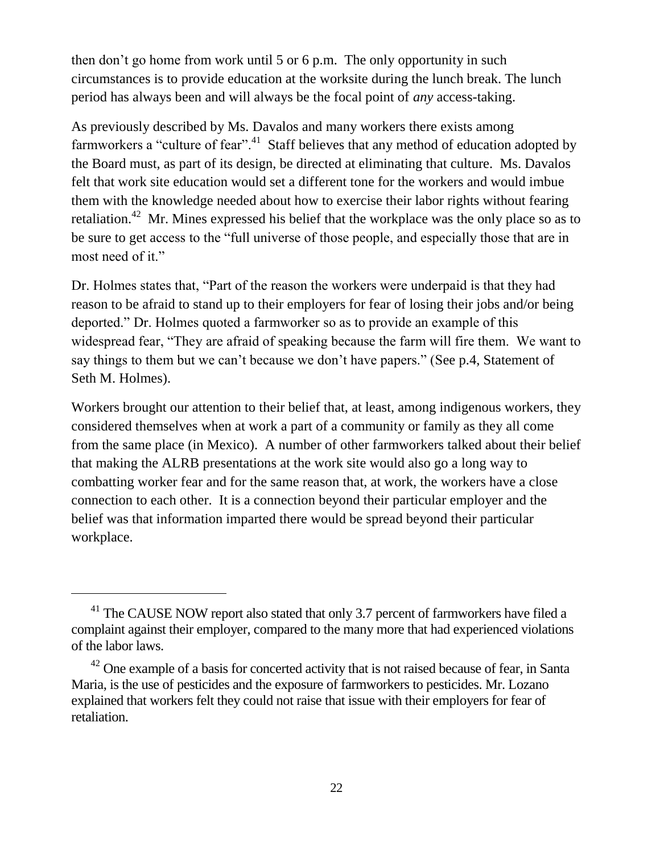then don't go home from work until 5 or 6 p.m. The only opportunity in such circumstances is to provide education at the worksite during the lunch break. The lunch period has always been and will always be the focal point of *any* access-taking.

As previously described by Ms. Davalos and many workers there exists among farmworkers a "culture of fear".<sup>41</sup> Staff believes that any method of education adopted by the Board must, as part of its design, be directed at eliminating that culture. Ms. Davalos felt that work site education would set a different tone for the workers and would imbue them with the knowledge needed about how to exercise their labor rights without fearing retaliation.<sup>42</sup> Mr. Mines expressed his belief that the workplace was the only place so as to be sure to get access to the "full universe of those people, and especially those that are in most need of it."

Dr. Holmes states that, "Part of the reason the workers were underpaid is that they had reason to be afraid to stand up to their employers for fear of losing their jobs and/or being deported." Dr. Holmes quoted a farmworker so as to provide an example of this widespread fear, "They are afraid of speaking because the farm will fire them. We want to say things to them but we can't because we don't have papers." (See p.4, Statement of Seth M. Holmes).

Workers brought our attention to their belief that, at least, among indigenous workers, they considered themselves when at work a part of a community or family as they all come from the same place (in Mexico). A number of other farmworkers talked about their belief that making the ALRB presentations at the work site would also go a long way to combatting worker fear and for the same reason that, at work, the workers have a close connection to each other. It is a connection beyond their particular employer and the belief was that information imparted there would be spread beyond their particular workplace.

<sup>&</sup>lt;sup>41</sup> The CAUSE NOW report also stated that only 3.7 percent of farmworkers have filed a complaint against their employer, compared to the many more that had experienced violations of the labor laws.

 $42$  One example of a basis for concerted activity that is not raised because of fear, in Santa Maria, is the use of pesticides and the exposure of farmworkers to pesticides. Mr. Lozano explained that workers felt they could not raise that issue with their employers for fear of retaliation.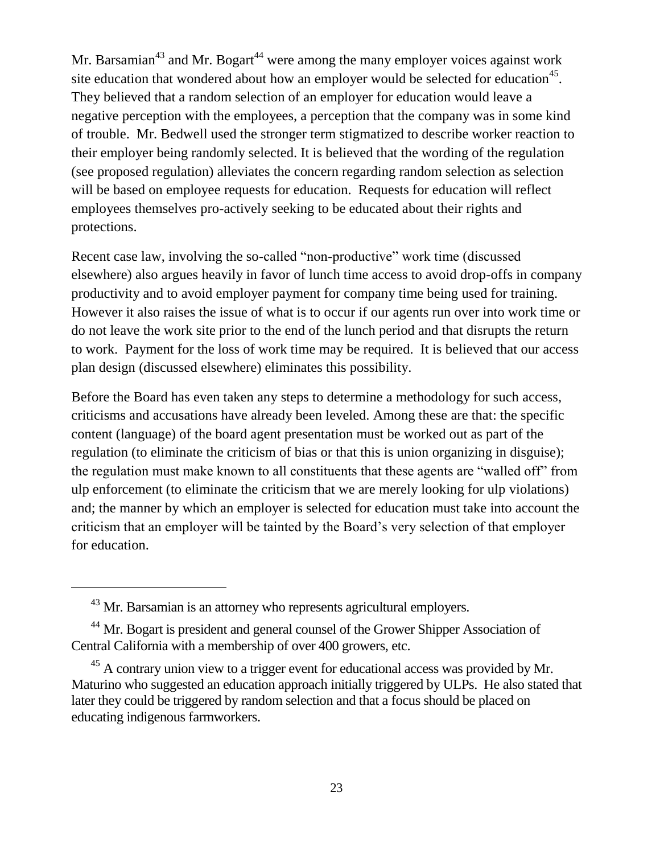Mr. Barsamian<sup>43</sup> and Mr. Bogart<sup>44</sup> were among the many employer voices against work site education that wondered about how an employer would be selected for education<sup>45</sup>. They believed that a random selection of an employer for education would leave a negative perception with the employees, a perception that the company was in some kind of trouble. Mr. Bedwell used the stronger term stigmatized to describe worker reaction to their employer being randomly selected. It is believed that the wording of the regulation (see proposed regulation) alleviates the concern regarding random selection as selection will be based on employee requests for education. Requests for education will reflect employees themselves pro-actively seeking to be educated about their rights and protections.

Recent case law, involving the so-called "non-productive" work time (discussed elsewhere) also argues heavily in favor of lunch time access to avoid drop-offs in company productivity and to avoid employer payment for company time being used for training. However it also raises the issue of what is to occur if our agents run over into work time or do not leave the work site prior to the end of the lunch period and that disrupts the return to work. Payment for the loss of work time may be required. It is believed that our access plan design (discussed elsewhere) eliminates this possibility.

Before the Board has even taken any steps to determine a methodology for such access, criticisms and accusations have already been leveled. Among these are that: the specific content (language) of the board agent presentation must be worked out as part of the regulation (to eliminate the criticism of bias or that this is union organizing in disguise); the regulation must make known to all constituents that these agents are "walled off" from ulp enforcement (to eliminate the criticism that we are merely looking for ulp violations) and; the manner by which an employer is selected for education must take into account the criticism that an employer will be tainted by the Board's very selection of that employer for education.

<sup>&</sup>lt;sup>43</sup> Mr. Barsamian is an attorney who represents agricultural employers.

<sup>&</sup>lt;sup>44</sup> Mr. Bogart is president and general counsel of the Grower Shipper Association of Central California with a membership of over 400 growers, etc.

<sup>&</sup>lt;sup>45</sup> A contrary union view to a trigger event for educational access was provided by Mr. Maturino who suggested an education approach initially triggered by ULPs. He also stated that later they could be triggered by random selection and that a focus should be placed on educating indigenous farmworkers.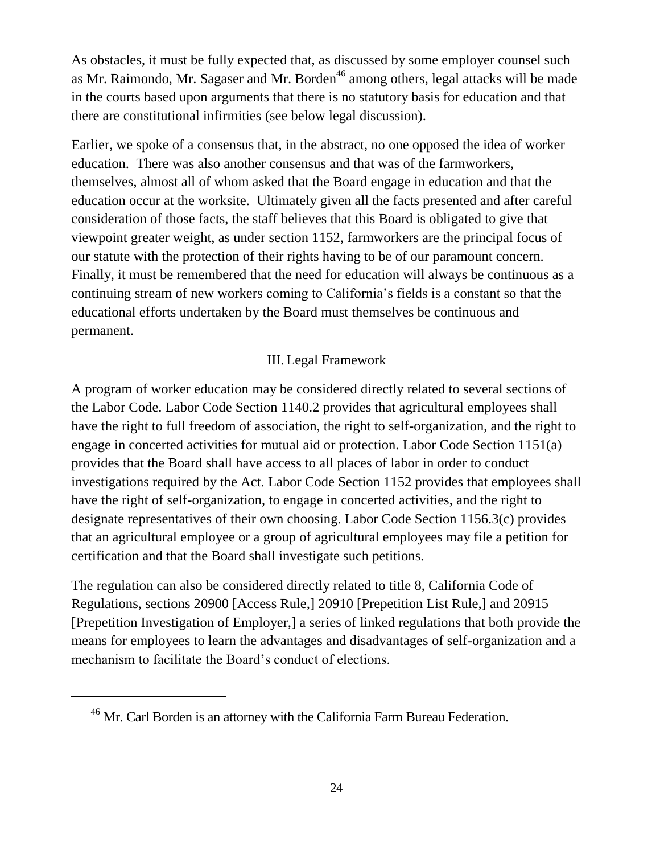As obstacles, it must be fully expected that, as discussed by some employer counsel such as Mr. Raimondo, Mr. Sagaser and Mr. Borden<sup>46</sup> among others, legal attacks will be made in the courts based upon arguments that there is no statutory basis for education and that there are constitutional infirmities (see below legal discussion).

Earlier, we spoke of a consensus that, in the abstract, no one opposed the idea of worker education. There was also another consensus and that was of the farmworkers, themselves, almost all of whom asked that the Board engage in education and that the education occur at the worksite. Ultimately given all the facts presented and after careful consideration of those facts, the staff believes that this Board is obligated to give that viewpoint greater weight, as under section 1152, farmworkers are the principal focus of our statute with the protection of their rights having to be of our paramount concern. Finally, it must be remembered that the need for education will always be continuous as a continuing stream of new workers coming to California's fields is a constant so that the educational efforts undertaken by the Board must themselves be continuous and permanent.

## III.Legal Framework

A program of worker education may be considered directly related to several sections of the Labor Code. Labor Code Section 1140.2 provides that agricultural employees shall have the right to full freedom of association, the right to self-organization, and the right to engage in concerted activities for mutual aid or protection. Labor Code Section 1151(a) provides that the Board shall have access to all places of labor in order to conduct investigations required by the Act. Labor Code Section 1152 provides that employees shall have the right of self-organization, to engage in concerted activities, and the right to designate representatives of their own choosing. Labor Code Section 1156.3(c) provides that an agricultural employee or a group of agricultural employees may file a petition for certification and that the Board shall investigate such petitions.

The regulation can also be considered directly related to title 8, California Code of Regulations, sections 20900 [Access Rule,] 20910 [Prepetition List Rule,] and 20915 [Prepetition Investigation of Employer,] a series of linked regulations that both provide the means for employees to learn the advantages and disadvantages of self-organization and a mechanism to facilitate the Board's conduct of elections.

<sup>&</sup>lt;sup>46</sup> Mr. Carl Borden is an attorney with the California Farm Bureau Federation.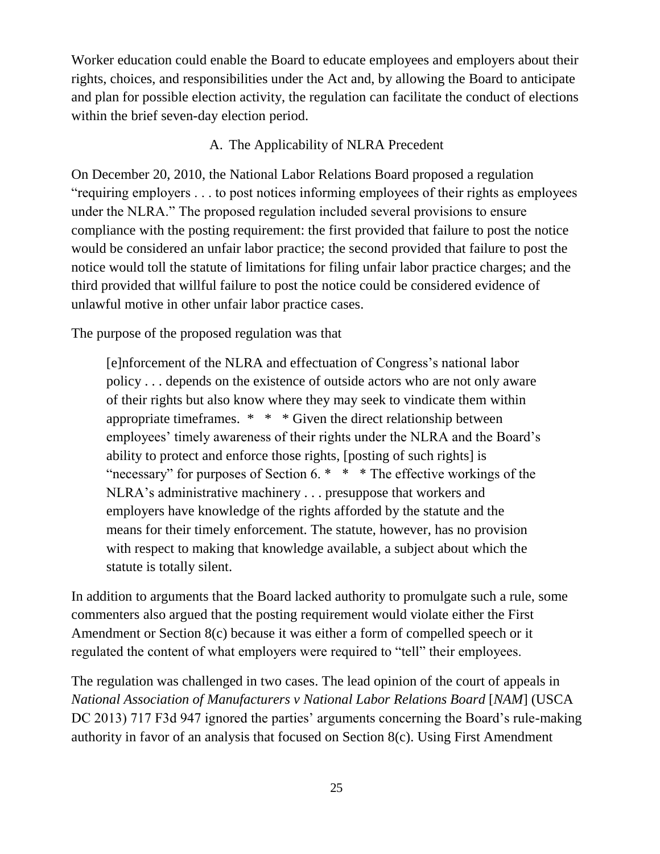Worker education could enable the Board to educate employees and employers about their rights, choices, and responsibilities under the Act and, by allowing the Board to anticipate and plan for possible election activity, the regulation can facilitate the conduct of elections within the brief seven-day election period.

#### A. The Applicability of NLRA Precedent

On December 20, 2010, the National Labor Relations Board proposed a regulation "requiring employers . . . to post notices informing employees of their rights as employees under the NLRA." The proposed regulation included several provisions to ensure compliance with the posting requirement: the first provided that failure to post the notice would be considered an unfair labor practice; the second provided that failure to post the notice would toll the statute of limitations for filing unfair labor practice charges; and the third provided that willful failure to post the notice could be considered evidence of unlawful motive in other unfair labor practice cases.

The purpose of the proposed regulation was that

[e]nforcement of the NLRA and effectuation of Congress's national labor policy . . . depends on the existence of outside actors who are not only aware of their rights but also know where they may seek to vindicate them within appropriate timeframes. \* \* \* Given the direct relationship between employees' timely awareness of their rights under the NLRA and the Board's ability to protect and enforce those rights, [posting of such rights] is "necessary" for purposes of Section 6.  $*$   $*$   $*$  The effective workings of the NLRA's administrative machinery . . . presuppose that workers and employers have knowledge of the rights afforded by the statute and the means for their timely enforcement. The statute, however, has no provision with respect to making that knowledge available, a subject about which the statute is totally silent.

In addition to arguments that the Board lacked authority to promulgate such a rule, some commenters also argued that the posting requirement would violate either the First Amendment or Section 8(c) because it was either a form of compelled speech or it regulated the content of what employers were required to "tell" their employees.

The regulation was challenged in two cases. The lead opinion of the court of appeals in *National Association of Manufacturers v National Labor Relations Board [NAM*] (USCA DC 2013) 717 F3d 947 ignored the parties' arguments concerning the Board's rule-making authority in favor of an analysis that focused on Section 8(c). Using First Amendment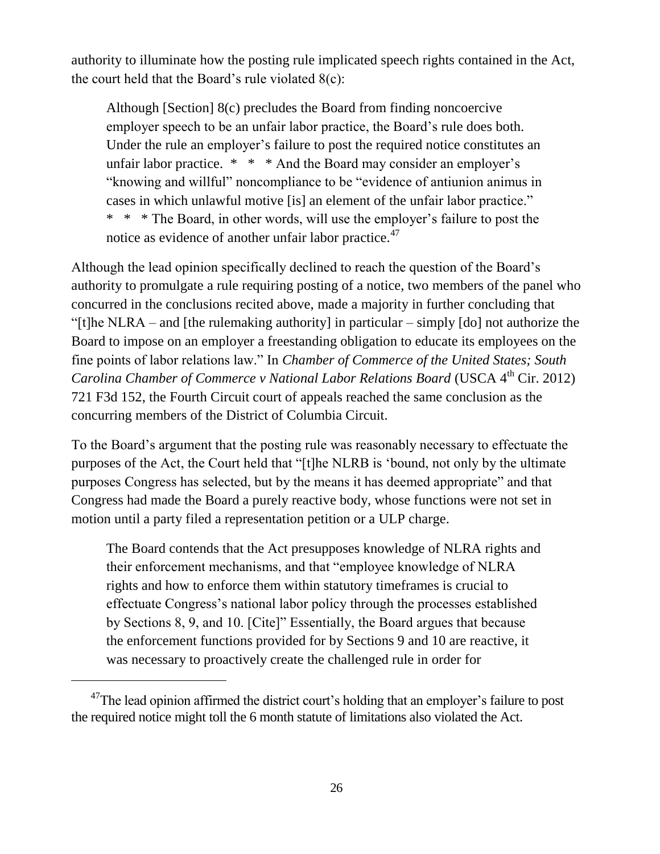authority to illuminate how the posting rule implicated speech rights contained in the Act, the court held that the Board's rule violated 8(c):

Although [Section] 8(c) precludes the Board from finding noncoercive employer speech to be an unfair labor practice, the Board's rule does both. Under the rule an employer's failure to post the required notice constitutes an unfair labor practice.  $* * * And$  the Board may consider an employer's "knowing and willful" noncompliance to be "evidence of antiunion animus in cases in which unlawful motive [is] an element of the unfair labor practice." \* \* \* The Board, in other words, will use the employer's failure to post the notice as evidence of another unfair labor practice.<sup>47</sup>

Although the lead opinion specifically declined to reach the question of the Board's authority to promulgate a rule requiring posting of a notice, two members of the panel who concurred in the conclusions recited above, made a majority in further concluding that "[t]he NLRA – and [the rulemaking authority] in particular – simply [do] not authorize the Board to impose on an employer a freestanding obligation to educate its employees on the fine points of labor relations law." In *Chamber of Commerce of the United States; South Carolina Chamber of Commerce v National Labor Relations Board* (USCA 4<sup>th</sup> Cir. 2012) 721 F3d 152, the Fourth Circuit court of appeals reached the same conclusion as the concurring members of the District of Columbia Circuit.

To the Board's argument that the posting rule was reasonably necessary to effectuate the purposes of the Act, the Court held that "[t]he NLRB is 'bound, not only by the ultimate purposes Congress has selected, but by the means it has deemed appropriate" and that Congress had made the Board a purely reactive body, whose functions were not set in motion until a party filed a representation petition or a ULP charge.

The Board contends that the Act presupposes knowledge of NLRA rights and their enforcement mechanisms, and that "employee knowledge of NLRA rights and how to enforce them within statutory timeframes is crucial to effectuate Congress's national labor policy through the processes established by Sections 8, 9, and 10. [Cite]" Essentially, the Board argues that because the enforcement functions provided for by Sections 9 and 10 are reactive, it was necessary to proactively create the challenged rule in order for

 $47$ The lead opinion affirmed the district court's holding that an employer's failure to post the required notice might toll the 6 month statute of limitations also violated the Act.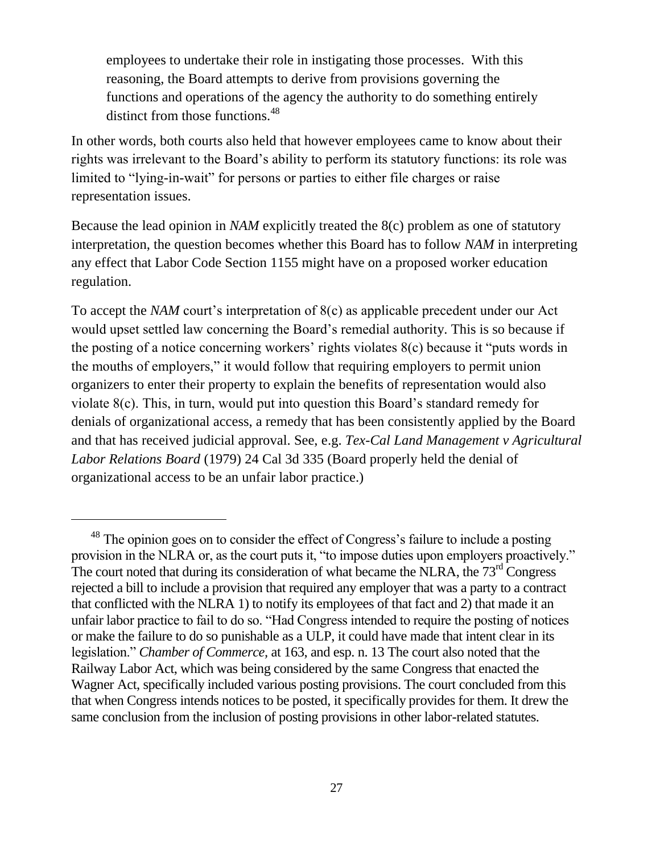employees to undertake their role in instigating those processes. With this reasoning, the Board attempts to derive from provisions governing the functions and operations of the agency the authority to do something entirely distinct from those functions.<sup>48</sup>

In other words, both courts also held that however employees came to know about their rights was irrelevant to the Board's ability to perform its statutory functions: its role was limited to "lying-in-wait" for persons or parties to either file charges or raise representation issues.

Because the lead opinion in *NAM* explicitly treated the 8(c) problem as one of statutory interpretation, the question becomes whether this Board has to follow *NAM* in interpreting any effect that Labor Code Section 1155 might have on a proposed worker education regulation.

To accept the *NAM* court's interpretation of 8(c) as applicable precedent under our Act would upset settled law concerning the Board's remedial authority. This is so because if the posting of a notice concerning workers' rights violates 8(c) because it "puts words in the mouths of employers," it would follow that requiring employers to permit union organizers to enter their property to explain the benefits of representation would also violate 8(c). This, in turn, would put into question this Board's standard remedy for denials of organizational access, a remedy that has been consistently applied by the Board and that has received judicial approval. See, e.g. *Tex-Cal Land Management v Agricultural Labor Relations Board* (1979) 24 Cal 3d 335 (Board properly held the denial of organizational access to be an unfair labor practice.)

<sup>&</sup>lt;sup>48</sup> The opinion goes on to consider the effect of Congress's failure to include a posting provision in the NLRA or, as the court puts it, "to impose duties upon employers proactively." The court noted that during its consideration of what became the NLRA, the  $73<sup>rd</sup>$  Congress rejected a bill to include a provision that required any employer that was a party to a contract that conflicted with the NLRA 1) to notify its employees of that fact and 2) that made it an unfair labor practice to fail to do so. "Had Congress intended to require the posting of notices or make the failure to do so punishable as a ULP, it could have made that intent clear in its legislation." *Chamber of Commerce,* at 163, and esp. n. 13 The court also noted that the Railway Labor Act, which was being considered by the same Congress that enacted the Wagner Act, specifically included various posting provisions. The court concluded from this that when Congress intends notices to be posted, it specifically provides for them. It drew the same conclusion from the inclusion of posting provisions in other labor-related statutes.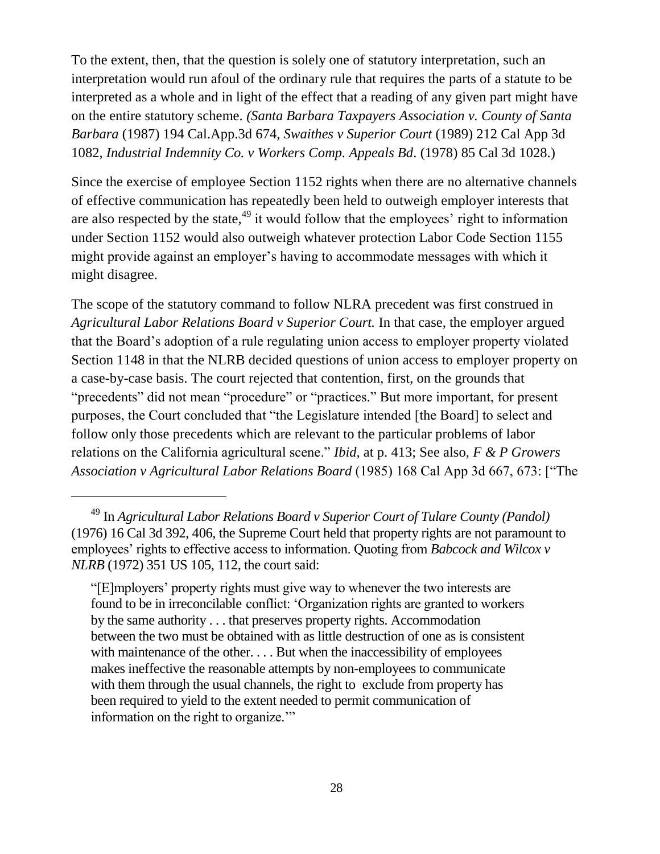To the extent, then, that the question is solely one of statutory interpretation, such an interpretation would run afoul of the ordinary rule that requires the parts of a statute to be interpreted as a whole and in light of the effect that a reading of any given part might have on the entire statutory scheme. *(Santa Barbara Taxpayers Association v. County of Santa Barbara* (1987) 194 Cal.App.3d 674, *Swaithes v Superior Court* (1989) 212 Cal App 3d 1082, *Industrial Indemnity Co. v Workers Comp. Appeals Bd*. (1978) 85 Cal 3d 1028.)

Since the exercise of employee Section 1152 rights when there are no alternative channels of effective communication has repeatedly been held to outweigh employer interests that are also respected by the state, $49$  it would follow that the employees' right to information under Section 1152 would also outweigh whatever protection Labor Code Section 1155 might provide against an employer's having to accommodate messages with which it might disagree.

The scope of the statutory command to follow NLRA precedent was first construed in *Agricultural Labor Relations Board v Superior Court.* In that case, the employer argued that the Board's adoption of a rule regulating union access to employer property violated Section 1148 in that the NLRB decided questions of union access to employer property on a case-by-case basis. The court rejected that contention, first, on the grounds that "precedents" did not mean "procedure" or "practices." But more important, for present purposes, the Court concluded that "the Legislature intended [the Board] to select and follow only those precedents which are relevant to the particular problems of labor relations on the California agricultural scene." *Ibid*, at p. 413; See also, *F & P Growers Association v Agricultural Labor Relations Board* (1985) 168 Cal App 3d 667, 673: ["The

 $\overline{a}$ 

"[E]mployers' property rights must give way to whenever the two interests are found to be in irreconcilable conflict: 'Organization rights are granted to workers by the same authority . . . that preserves property rights. Accommodation between the two must be obtained with as little destruction of one as is consistent with maintenance of the other. . . . But when the inaccessibility of employees makes ineffective the reasonable attempts by non-employees to communicate with them through the usual channels, the right to exclude from property has been required to yield to the extent needed to permit communication of information on the right to organize.'"

<sup>49</sup> In *Agricultural Labor Relations Board v Superior Court of Tulare County (Pandol)* (1976) 16 Cal 3d 392, 406, the Supreme Court held that property rights are not paramount to employees' rights to effective access to information. Quoting from *Babcock and Wilcox v NLRB* (1972) 351 US 105, 112, the court said: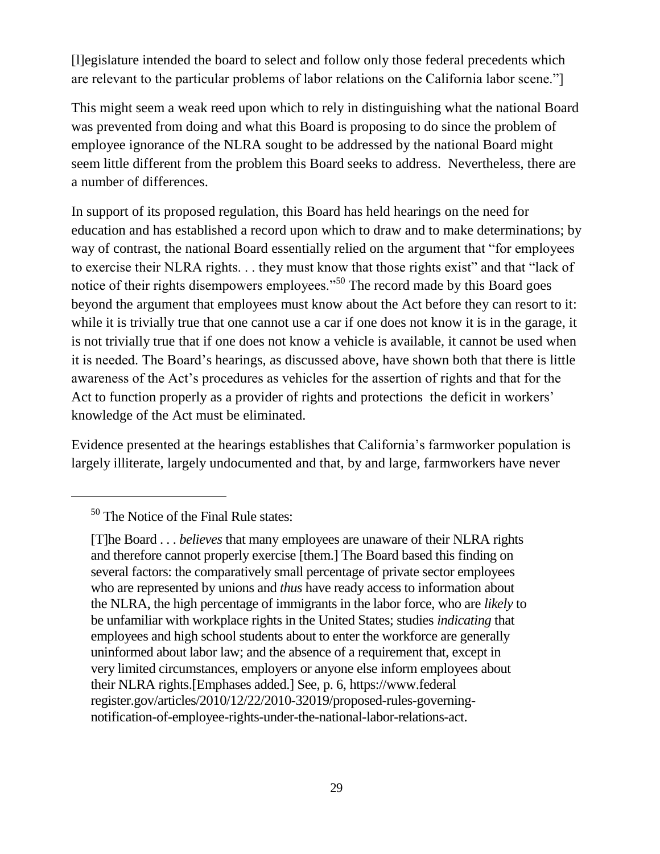[l]egislature intended the board to select and follow only those federal precedents which are relevant to the particular problems of labor relations on the California labor scene."]

This might seem a weak reed upon which to rely in distinguishing what the national Board was prevented from doing and what this Board is proposing to do since the problem of employee ignorance of the NLRA sought to be addressed by the national Board might seem little different from the problem this Board seeks to address. Nevertheless, there are a number of differences.

In support of its proposed regulation, this Board has held hearings on the need for education and has established a record upon which to draw and to make determinations; by way of contrast, the national Board essentially relied on the argument that "for employees to exercise their NLRA rights. . . they must know that those rights exist" and that "lack of notice of their rights disempowers employees."<sup>50</sup> The record made by this Board goes beyond the argument that employees must know about the Act before they can resort to it: while it is trivially true that one cannot use a car if one does not know it is in the garage, it is not trivially true that if one does not know a vehicle is available, it cannot be used when it is needed. The Board's hearings*,* as discussed above*,* have shown both that there is little awareness of the Act's procedures as vehicles for the assertion of rights and that for the Act to function properly as a provider of rights and protections the deficit in workers' knowledge of the Act must be eliminated.

Evidence presented at the hearings establishes that California's farmworker population is largely illiterate, largely undocumented and that, by and large, farmworkers have never

<sup>50</sup> The Notice of the Final Rule states:

<sup>[</sup>T]he Board . . . *believes* that many employees are unaware of their NLRA rights and therefore cannot properly exercise [them.] The Board based this finding on several factors: the comparatively small percentage of private sector employees who are represented by unions and *thus* have ready access to information about the NLRA, the high percentage of immigrants in the labor force, who are *likely* to be unfamiliar with workplace rights in the United States; studies *indicating* that employees and high school students about to enter the workforce are generally uninformed about labor law; and the absence of a requirement that, except in very limited circumstances, employers or anyone else inform employees about their NLRA rights.[Emphases added.] See, p. 6, https://www.federal register.gov/articles/2010/12/22/2010-32019/proposed-rules-governingnotification-of-employee-rights-under-the-national-labor-relations-act.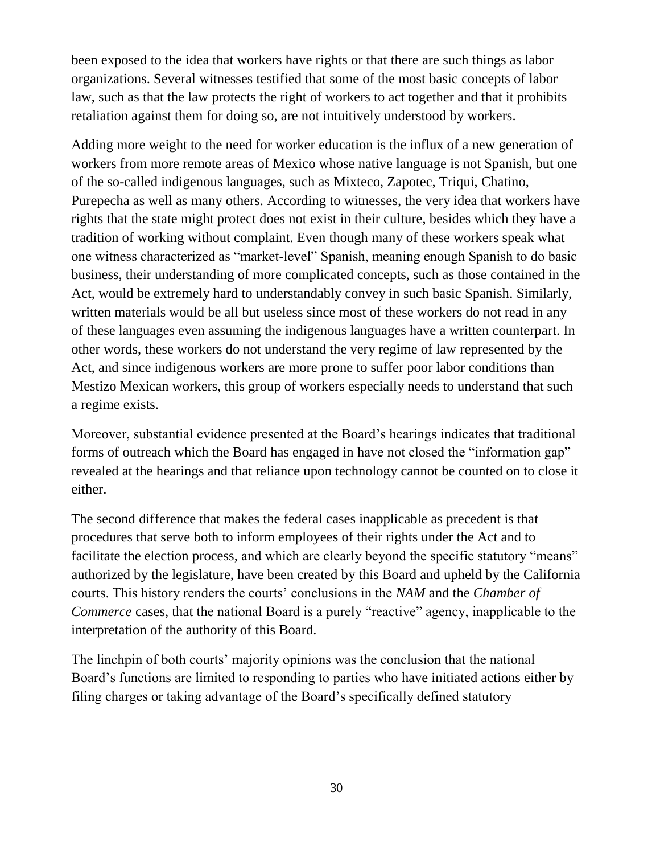been exposed to the idea that workers have rights or that there are such things as labor organizations. Several witnesses testified that some of the most basic concepts of labor law, such as that the law protects the right of workers to act together and that it prohibits retaliation against them for doing so, are not intuitively understood by workers.

Adding more weight to the need for worker education is the influx of a new generation of workers from more remote areas of Mexico whose native language is not Spanish, but one of the so-called indigenous languages, such as Mixteco, Zapotec, Triqui, Chatino, Purepecha as well as many others. According to witnesses, the very idea that workers have rights that the state might protect does not exist in their culture, besides which they have a tradition of working without complaint. Even though many of these workers speak what one witness characterized as "market-level" Spanish, meaning enough Spanish to do basic business, their understanding of more complicated concepts, such as those contained in the Act, would be extremely hard to understandably convey in such basic Spanish. Similarly, written materials would be all but useless since most of these workers do not read in any of these languages even assuming the indigenous languages have a written counterpart. In other words, these workers do not understand the very regime of law represented by the Act, and since indigenous workers are more prone to suffer poor labor conditions than Mestizo Mexican workers, this group of workers especially needs to understand that such a regime exists.

Moreover, substantial evidence presented at the Board's hearings indicates that traditional forms of outreach which the Board has engaged in have not closed the "information gap" revealed at the hearings and that reliance upon technology cannot be counted on to close it either.

The second difference that makes the federal cases inapplicable as precedent is that procedures that serve both to inform employees of their rights under the Act and to facilitate the election process, and which are clearly beyond the specific statutory "means" authorized by the legislature, have been created by this Board and upheld by the California courts. This history renders the courts' conclusions in the *NAM* and the *Chamber of Commerce* cases, that the national Board is a purely "reactive" agency, inapplicable to the interpretation of the authority of this Board.

The linchpin of both courts' majority opinions was the conclusion that the national Board's functions are limited to responding to parties who have initiated actions either by filing charges or taking advantage of the Board's specifically defined statutory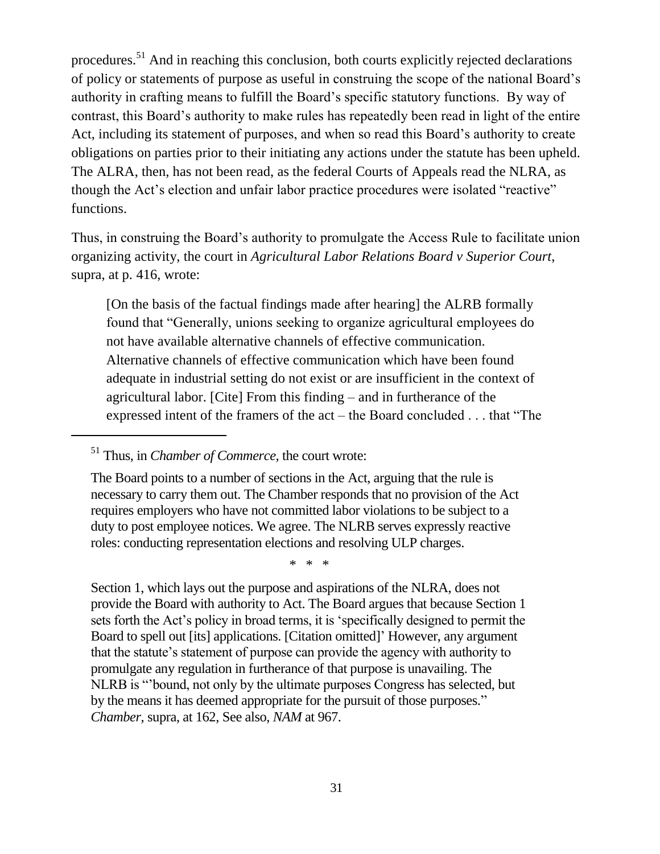procedures.<sup>51</sup> And in reaching this conclusion, both courts explicitly rejected declarations of policy or statements of purpose as useful in construing the scope of the national Board's authority in crafting means to fulfill the Board's specific statutory functions. By way of contrast, this Board's authority to make rules has repeatedly been read in light of the entire Act, including its statement of purposes, and when so read this Board's authority to create obligations on parties prior to their initiating any actions under the statute has been upheld. The ALRA, then, has not been read, as the federal Courts of Appeals read the NLRA, as though the Act's election and unfair labor practice procedures were isolated "reactive" functions.

Thus, in construing the Board's authority to promulgate the Access Rule to facilitate union organizing activity, the court in *Agricultural Labor Relations Board v Superior Court*, supra, at p. 416, wrote:

[On the basis of the factual findings made after hearing] the ALRB formally found that "Generally, unions seeking to organize agricultural employees do not have available alternative channels of effective communication. Alternative channels of effective communication which have been found adequate in industrial setting do not exist or are insufficient in the context of agricultural labor. [Cite] From this finding – and in furtherance of the expressed intent of the framers of the act – the Board concluded . . . that "The

\* \* \*

Section 1, which lays out the purpose and aspirations of the NLRA, does not provide the Board with authority to Act. The Board argues that because Section 1 sets forth the Act's policy in broad terms, it is 'specifically designed to permit the Board to spell out [its] applications. [Citation omitted]' However, any argument that the statute's statement of purpose can provide the agency with authority to promulgate any regulation in furtherance of that purpose is unavailing. The NLRB is "'bound, not only by the ultimate purposes Congress has selected, but by the means it has deemed appropriate for the pursuit of those purposes." *Chamber,* supra, at 162, See also, *NAM* at 967.

<sup>51</sup> Thus, in *Chamber of Commerce,* the court wrote:

The Board points to a number of sections in the Act, arguing that the rule is necessary to carry them out. The Chamber responds that no provision of the Act requires employers who have not committed labor violations to be subject to a duty to post employee notices. We agree. The NLRB serves expressly reactive roles: conducting representation elections and resolving ULP charges.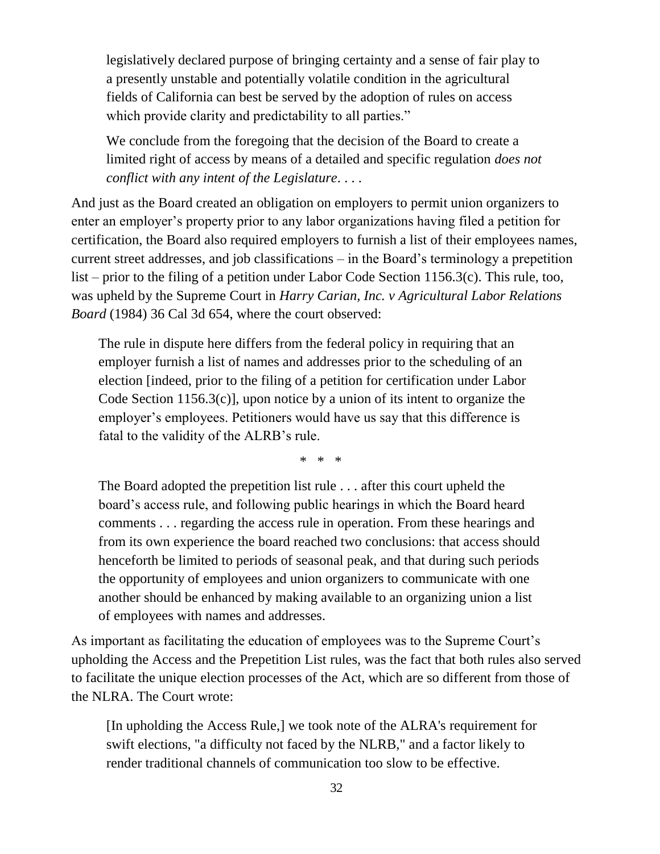legislatively declared purpose of bringing certainty and a sense of fair play to a presently unstable and potentially volatile condition in the agricultural fields of California can best be served by the adoption of rules on access which provide clarity and predictability to all parties."

We conclude from the foregoing that the decision of the Board to create a limited right of access by means of a detailed and specific regulation *does not conflict with any intent of the Legislature*. . . .

And just as the Board created an obligation on employers to permit union organizers to enter an employer's property prior to any labor organizations having filed a petition for certification, the Board also required employers to furnish a list of their employees names, current street addresses, and job classifications – in the Board's terminology a prepetition list – prior to the filing of a petition under Labor Code Section 1156.3(c). This rule, too, was upheld by the Supreme Court in *Harry Carian, Inc. v Agricultural Labor Relations Board* (1984) 36 Cal 3d 654, where the court observed:

The rule in dispute here differs from the federal policy in requiring that an employer furnish a list of names and addresses prior to the scheduling of an election [indeed, prior to the filing of a petition for certification under Labor Code Section 1156.3(c)], upon notice by a union of its intent to organize the employer's employees. Petitioners would have us say that this difference is fatal to the validity of the ALRB's rule.

\* \* \*

The Board adopted the prepetition list rule . . . after this court upheld the board's access rule, and following public hearings in which the Board heard comments . . . regarding the access rule in operation. From these hearings and from its own experience the board reached two conclusions: that access should henceforth be limited to periods of seasonal peak, and that during such periods the opportunity of employees and union organizers to communicate with one another should be enhanced by making available to an organizing union a list of employees with names and addresses.

As important as facilitating the education of employees was to the Supreme Court's upholding the Access and the Prepetition List rules, was the fact that both rules also served to facilitate the unique election processes of the Act, which are so different from those of the NLRA. The Court wrote:

[In upholding the Access Rule,] we took note of the ALRA's requirement for swift elections, "a difficulty not faced by the NLRB," and a factor likely to render traditional channels of communication too slow to be effective.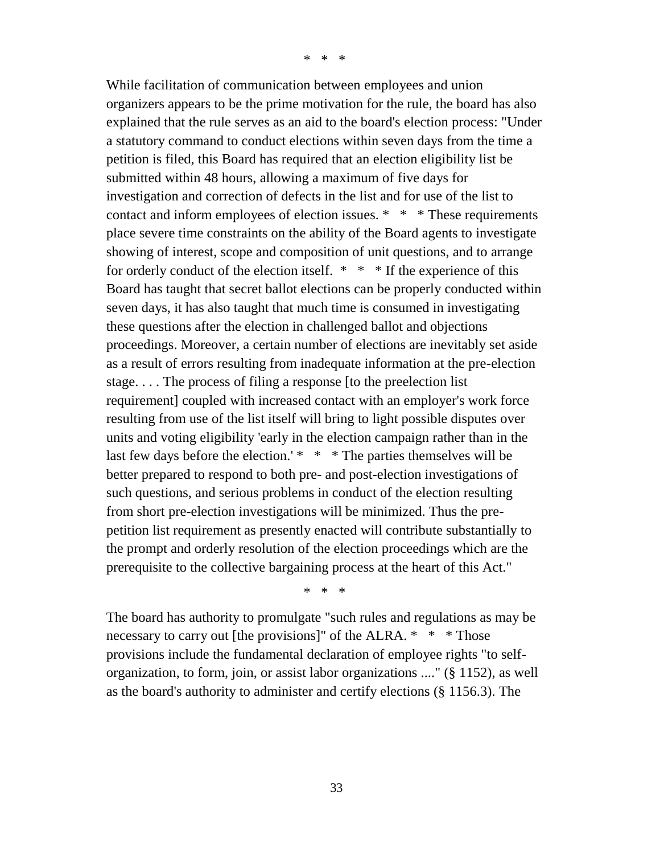\* \* \*

While facilitation of communication between employees and union organizers appears to be the prime motivation for the rule, the board has also explained that the rule serves as an aid to the board's election process: "Under a statutory command to conduct elections within seven days from the time a petition is filed, this Board has required that an election eligibility list be submitted within 48 hours, allowing a maximum of five days for investigation and correction of defects in the list and for use of the list to contact and inform employees of election issues. \* \* \* These requirements place severe time constraints on the ability of the Board agents to investigate showing of interest, scope and composition of unit questions, and to arrange for orderly conduct of the election itself. \* \* \* If the experience of this Board has taught that secret ballot elections can be properly conducted within seven days, it has also taught that much time is consumed in investigating these questions after the election in challenged ballot and objections proceedings. Moreover, a certain number of elections are inevitably set aside as a result of errors resulting from inadequate information at the pre-election stage. . . . The process of filing a response [to the preelection list requirement] coupled with increased contact with an employer's work force resulting from use of the list itself will bring to light possible disputes over units and voting eligibility 'early in the election campaign rather than in the last few days before the election.' \* \* \* The parties themselves will be better prepared to respond to both pre- and post-election investigations of such questions, and serious problems in conduct of the election resulting from short pre-election investigations will be minimized. Thus the prepetition list requirement as presently enacted will contribute substantially to the prompt and orderly resolution of the election proceedings which are the prerequisite to the collective bargaining process at the heart of this Act."

\* \* \*

The board has authority to promulgate "such rules and regulations as may be necessary to carry out [the provisions]" of the ALRA. \* \* \* Those provisions include the fundamental declaration of employee rights "to selforganization, to form, join, or assist labor organizations ...." (§ 1152), as well as the board's authority to administer and certify elections (§ 1156.3). The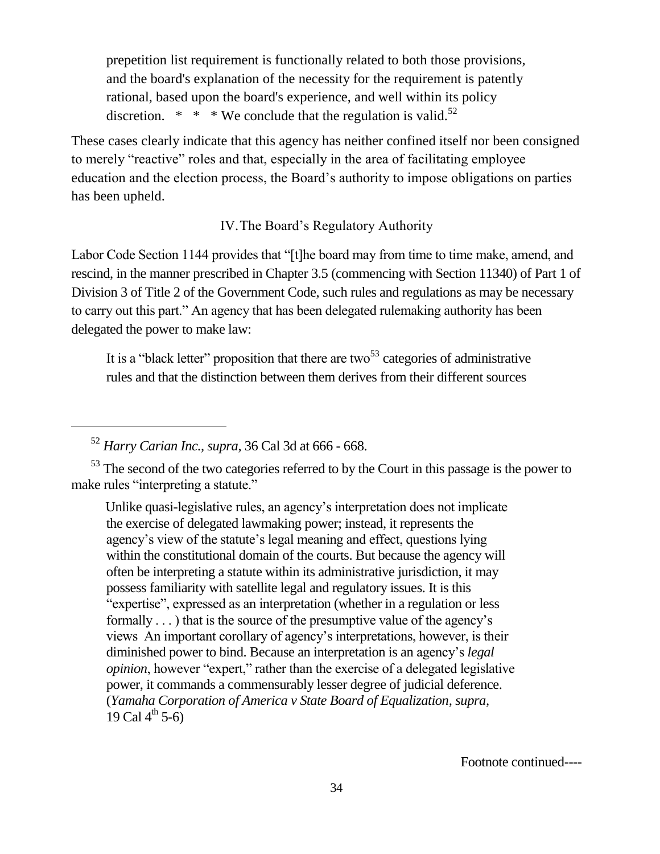prepetition list requirement is functionally related to both those provisions, and the board's explanation of the necessity for the requirement is patently rational, based upon the board's experience, and well within its policy discretion.  $* * * \text{We conclude that the regulation is valid.}^{52}$ 

These cases clearly indicate that this agency has neither confined itself nor been consigned to merely "reactive" roles and that, especially in the area of facilitating employee education and the election process, the Board's authority to impose obligations on parties has been upheld.

IV.The Board's Regulatory Authority

Labor Code Section 1144 provides that "[t]he board may from time to time make, amend, and rescind, in the manner prescribed in Chapter 3.5 (commencing with Section 11340) of Part 1 of Division 3 of Title 2 of the Government Code, such rules and regulations as may be necessary to carry out this part." An agency that has been delegated rulemaking authority has been delegated the power to make law:

It is a "black letter" proposition that there are two<sup>53</sup> categories of administrative rules and that the distinction between them derives from their different sources

<sup>52</sup> *Harry Carian Inc., supra*, 36 Cal 3d at 666 - 668.

<sup>53</sup> The second of the two categories referred to by the Court in this passage is the power to make rules "interpreting a statute."

Unlike quasi-legislative rules, an agency's interpretation does not implicate the exercise of delegated lawmaking power; instead, it represents the agency's view of the statute's legal meaning and effect, questions lying within the constitutional domain of the courts. But because the agency will often be interpreting a statute within its administrative jurisdiction, it may possess familiarity with satellite legal and regulatory issues. It is this "expertise", expressed as an interpretation (whether in a regulation or less formally . . . ) that is the source of the presumptive value of the agency's views An important corollary of agency's interpretations, however, is their diminished power to bind. Because an interpretation is an agency's *legal opinion*, however "expert," rather than the exercise of a delegated legislative power, it commands a commensurably lesser degree of judicial deference. (*Yamaha Corporation of America v State Board of Equalization, supra,* 19 Cal  $4^{th}$  5-6)

Footnote continued----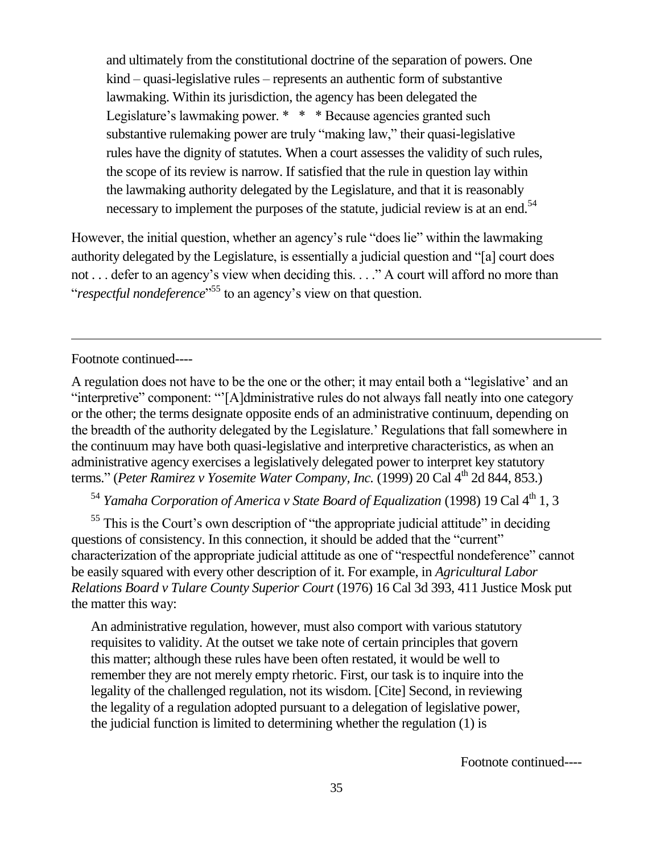and ultimately from the constitutional doctrine of the separation of powers. One kind – quasi-legislative rules – represents an authentic form of substantive lawmaking. Within its jurisdiction, the agency has been delegated the Legislature's lawmaking power. \* \* \* Because agencies granted such substantive rulemaking power are truly "making law," their quasi-legislative rules have the dignity of statutes. When a court assesses the validity of such rules, the scope of its review is narrow. If satisfied that the rule in question lay within the lawmaking authority delegated by the Legislature, and that it is reasonably necessary to implement the purposes of the statute, judicial review is at an end.<sup>54</sup>

However, the initial question, whether an agency's rule "does lie" within the lawmaking authority delegated by the Legislature, is essentially a judicial question and "[a] court does not . . . defer to an agency's view when deciding this. . . ." A court will afford no more than "*respectful nondeference*" <sup>55</sup> to an agency's view on that question.

Footnote continued----

A regulation does not have to be the one or the other; it may entail both a "legislative' and an "interpretive" component: "'[A]dministrative rules do not always fall neatly into one category or the other; the terms designate opposite ends of an administrative continuum, depending on the breadth of the authority delegated by the Legislature.' Regulations that fall somewhere in the continuum may have both quasi-legislative and interpretive characteristics, as when an administrative agency exercises a legislatively delegated power to interpret key statutory terms." (*Peter Ramirez v Yosemite Water Company, Inc.* (1999) 20 Cal 4<sup>th</sup> 2d 844, 853.)

<sup>54</sup> *Yamaha Corporation of America v State Board of Equalization* (1998) 19 Cal 4<sup>th</sup> 1, 3

<sup>55</sup> This is the Court's own description of "the appropriate judicial attitude" in deciding questions of consistency. In this connection, it should be added that the "current" characterization of the appropriate judicial attitude as one of "respectful nondeference" cannot be easily squared with every other description of it. For example, in *Agricultural Labor Relations Board v Tulare County Superior Court* (1976) 16 Cal 3d 393, 411 Justice Mosk put the matter this way:

An administrative regulation, however, must also comport with various statutory requisites to validity. At the outset we take note of certain principles that govern this matter; although these rules have been often restated, it would be well to remember they are not merely empty rhetoric. First, our task is to inquire into the legality of the challenged regulation, not its wisdom. [Cite] Second, in reviewing the legality of a regulation adopted pursuant to a delegation of legislative power, the judicial function is limited to determining whether the regulation (1) is

Footnote continued----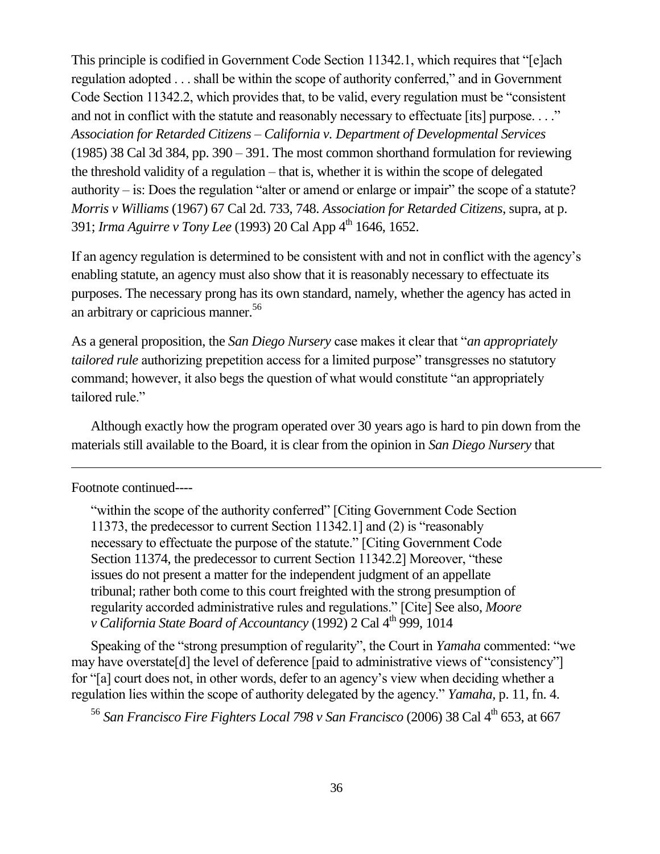This principle is codified in Government Code Section 11342.1, which requires that "[e]ach regulation adopted . . . shall be within the scope of authority conferred," and in Government Code Section 11342.2, which provides that, to be valid, every regulation must be "consistent and not in conflict with the statute and reasonably necessary to effectuate [its] purpose. . . ." *Association for Retarded Citizens – California v. Department of Developmental Services*  (1985) 38 Cal 3d 384, pp. 390 – 391. The most common shorthand formulation for reviewing the threshold validity of a regulation – that is, whether it is within the scope of delegated authority – is: Does the regulation "alter or amend or enlarge or impair" the scope of a statute? *Morris v Williams* (1967) 67 Cal 2d. 733, 748. *Association for Retarded Citizens*, supra, at p. 391; *Irma Aguirre v Tony Lee* (1993) 20 Cal App 4<sup>th</sup> 1646, 1652.

If an agency regulation is determined to be consistent with and not in conflict with the agency's enabling statute, an agency must also show that it is reasonably necessary to effectuate its purposes. The necessary prong has its own standard, namely, whether the agency has acted in an arbitrary or capricious manner.<sup>56</sup>

As a general proposition, the *San Diego Nursery* case makes it clear that "*an appropriately tailored rule* authorizing prepetition access for a limited purpose" transgresses no statutory command; however, it also begs the question of what would constitute "an appropriately tailored rule."

Although exactly how the program operated over 30 years ago is hard to pin down from the materials still available to the Board, it is clear from the opinion in *San Diego Nursery* that

#### Footnote continued----

 $\overline{a}$ 

"within the scope of the authority conferred" [Citing Government Code Section 11373, the predecessor to current Section 11342.1] and (2) is "reasonably necessary to effectuate the purpose of the statute." [Citing Government Code Section 11374, the predecessor to current Section 11342.2] Moreover, "these issues do not present a matter for the independent judgment of an appellate tribunal; rather both come to this court freighted with the strong presumption of regularity accorded administrative rules and regulations." [Cite] See also, *Moore v* California State Board of Accountancy (1992) 2 Cal 4<sup>th</sup> 999, 1014

Speaking of the "strong presumption of regularity", the Court in *Yamaha* commented: "we may have overstate[d] the level of deference [paid to administrative views of "consistency"] for "[a] court does not, in other words, defer to an agency's view when deciding whether a regulation lies within the scope of authority delegated by the agency." *Yamaha,* p. 11, fn. 4.

<sup>56</sup> *San Francisco Fire Fighters Local 798 v San Francisco* (2006) 38 Cal 4<sup>th</sup> 653, at 667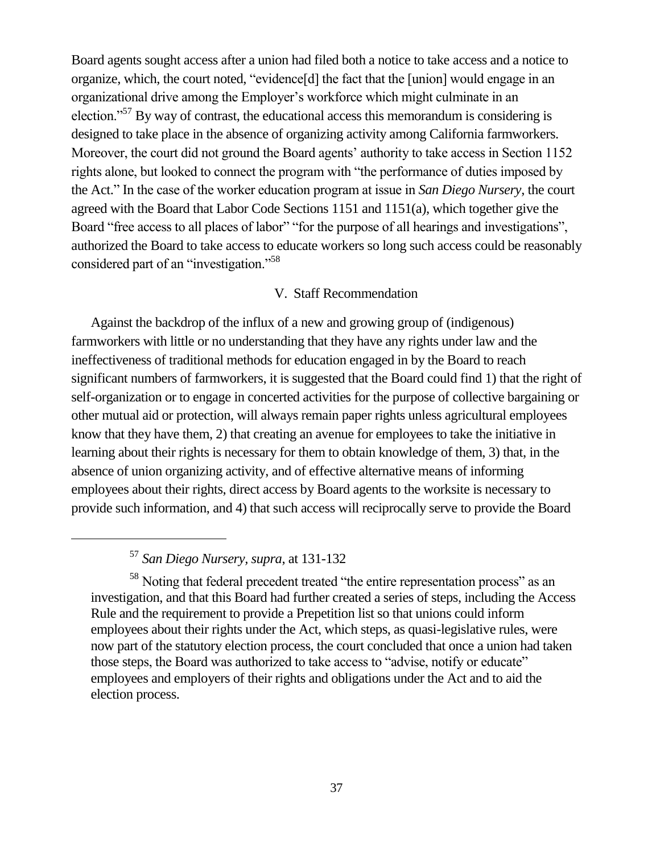Board agents sought access after a union had filed both a notice to take access and a notice to organize, which, the court noted, "evidence[d] the fact that the [union] would engage in an organizational drive among the Employer's workforce which might culminate in an election."<sup>57</sup> By way of contrast, the educational access this memorandum is considering is designed to take place in the absence of organizing activity among California farmworkers. Moreover, the court did not ground the Board agents' authority to take access in Section 1152 rights alone, but looked to connect the program with "the performance of duties imposed by the Act." In the case of the worker education program at issue in *San Diego Nursery*, the court agreed with the Board that Labor Code Sections 1151 and 1151(a), which together give the Board "free access to all places of labor" "for the purpose of all hearings and investigations", authorized the Board to take access to educate workers so long such access could be reasonably considered part of an "investigation."<sup>58</sup>

#### V. Staff Recommendation

Against the backdrop of the influx of a new and growing group of (indigenous) farmworkers with little or no understanding that they have any rights under law and the ineffectiveness of traditional methods for education engaged in by the Board to reach significant numbers of farmworkers, it is suggested that the Board could find 1) that the right of self-organization or to engage in concerted activities for the purpose of collective bargaining or other mutual aid or protection, will always remain paper rights unless agricultural employees know that they have them, 2) that creating an avenue for employees to take the initiative in learning about their rights is necessary for them to obtain knowledge of them, 3) that, in the absence of union organizing activity, and of effective alternative means of informing employees about their rights, direct access by Board agents to the worksite is necessary to provide such information, and 4) that such access will reciprocally serve to provide the Board

<sup>57</sup> *San Diego Nursery, supra*, at 131-132

<sup>58</sup> Noting that federal precedent treated "the entire representation process" as an investigation, and that this Board had further created a series of steps, including the Access Rule and the requirement to provide a Prepetition list so that unions could inform employees about their rights under the Act, which steps, as quasi-legislative rules, were now part of the statutory election process, the court concluded that once a union had taken those steps, the Board was authorized to take access to "advise, notify or educate" employees and employers of their rights and obligations under the Act and to aid the election process.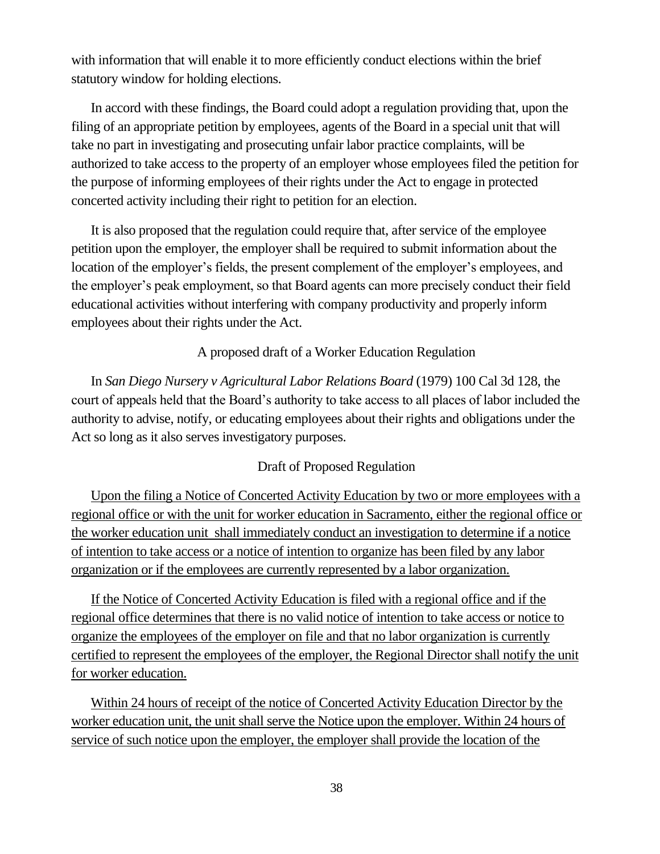with information that will enable it to more efficiently conduct elections within the brief statutory window for holding elections.

In accord with these findings, the Board could adopt a regulation providing that, upon the filing of an appropriate petition by employees, agents of the Board in a special unit that will take no part in investigating and prosecuting unfair labor practice complaints, will be authorized to take access to the property of an employer whose employees filed the petition for the purpose of informing employees of their rights under the Act to engage in protected concerted activity including their right to petition for an election.

It is also proposed that the regulation could require that, after service of the employee petition upon the employer, the employer shall be required to submit information about the location of the employer's fields, the present complement of the employer's employees, and the employer's peak employment, so that Board agents can more precisely conduct their field educational activities without interfering with company productivity and properly inform employees about their rights under the Act.

A proposed draft of a Worker Education Regulation

In *San Diego Nursery v Agricultural Labor Relations Board* (1979) 100 Cal 3d 128, the court of appeals held that the Board's authority to take access to all places of labor included the authority to advise, notify, or educating employees about their rights and obligations under the Act so long as it also serves investigatory purposes.

#### Draft of Proposed Regulation

Upon the filing a Notice of Concerted Activity Education by two or more employees with a regional office or with the unit for worker education in Sacramento, either the regional office or the worker education unit shall immediately conduct an investigation to determine if a notice of intention to take access or a notice of intention to organize has been filed by any labor organization or if the employees are currently represented by a labor organization.

If the Notice of Concerted Activity Education is filed with a regional office and if the regional office determines that there is no valid notice of intention to take access or notice to organize the employees of the employer on file and that no labor organization is currently certified to represent the employees of the employer, the Regional Director shall notify the unit for worker education.

Within 24 hours of receipt of the notice of Concerted Activity Education Director by the worker education unit, the unit shall serve the Notice upon the employer. Within 24 hours of service of such notice upon the employer, the employer shall provide the location of the